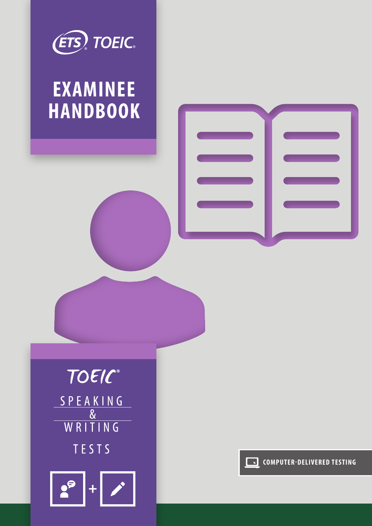

# **EXAMINEE HANDBOOK**





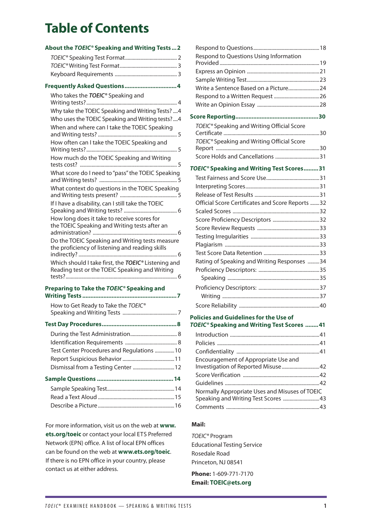# **Table of Contents**

### **About the** *TOEIC®* **[Speaking and Writing Tests](#page-3-0) ...2** *TOEIC®* [Speaking Test Format........................................](#page-3-0) 2 *TOEIC®* [Writing Test Format............................................](#page-3-0) 3 [Keyboard Requirements ................................................](#page-4-0) 3 **[Frequently Asked Questions................................4](#page-5-0)** [Who takes the](#page-5-0) *TOEIC®* Speaking and [Writing tests?......................................................................](#page-5-0) 4 [Why take the TOEIC Speaking and Writing Tests?](#page-5-0) ....4 [Who uses the TOEIC Speaking and Writing tests?....4](#page-5-0) [When and where can I take the TOEIC Speaking](#page-6-0)  and Writing tests? [.............................................................](#page-6-0) 5 [How often can I take the TOEIC Speaking and](#page-6-0)  [Writing tests?......................................................................](#page-6-0) 5 [How much do the TOEIC Speaking and Writing](#page-6-0)  [tests cost? ...........................................................................](#page-6-0) 5 [What score do I need to "pass" the TOEIC Speaking](#page-6-0)  [and Writing tests? ............................................................](#page-6-0) 5 [What context do questions in the TOEIC Speaking](#page-6-0)  [and Writing tests present? ............................................](#page-6-0) 5 [If I have a disability, can I still take the TOEIC](#page-7-0)  [Speaking and Writing tests? .........................................](#page-7-0) 6 [How long does it take to receive scores for](#page-7-0)  [the TOEIC Speaking and Writing tests after an](#page-7-0)  [administration? .................................................................](#page-7-0) 6 [Do the TOEIC Speaking and Writing tests measure](#page-7-0)  [the proficiency of listening and reading skills](#page-7-0)  indirectly? [............................................................................](#page-7-0) 6 [Which should I take first, the](#page-7-0) *TOEIC®* Listening and [Reading test or the TOEIC Speaking and Writing](#page-7-0)  [tests?......................................................................................](#page-7-0) 6

#### **[Preparing to Take the](#page-8-0)** *TOEIC®* **Speaking and Writing Tests [..........................................................7](#page-8-0)**

| Test Center Procedures and Regulations 10 |
|-------------------------------------------|
|                                           |
| Dismissal from a Testing Center  12       |
|                                           |
|                                           |
|                                           |
|                                           |
|                                           |

For more information, visit us on the web at **[www.](http://www.ets.org/toeic) [ets.org/toeic](http://www.ets.org/toeic)** or contact your local ETS Preferred Network (EPN) office. A list of local EPN offices can be found on the web at **[www.ets.org/toeic](http://www.ets.org/toeic)**. If there is no EPN office in your country, please contact us at either address.

| Respond to Questions Using Information                                                                   |        |
|----------------------------------------------------------------------------------------------------------|--------|
|                                                                                                          |        |
|                                                                                                          |        |
| Write a Sentence Based on a Picture 24                                                                   |        |
|                                                                                                          |        |
|                                                                                                          |        |
|                                                                                                          |        |
| TOEIC <sup>®</sup> Speaking and Writing Official Score                                                   |        |
| TOEIC <sup>®</sup> Speaking and Writing Official Score                                                   |        |
| Score Holds and Cancellations 31                                                                         |        |
| TOEIC <sup>®</sup> Speaking and Writing Test Scores 31                                                   |        |
|                                                                                                          |        |
|                                                                                                          |        |
|                                                                                                          |        |
| Official Score Certificates and Score Reports 32                                                         |        |
|                                                                                                          |        |
|                                                                                                          |        |
|                                                                                                          |        |
|                                                                                                          |        |
|                                                                                                          |        |
|                                                                                                          |        |
| Rating of Speaking and Writing Responses 34                                                              |        |
|                                                                                                          |        |
|                                                                                                          |        |
|                                                                                                          |        |
|                                                                                                          |        |
|                                                                                                          |        |
| <b>Policies and Guidelines for the Use of</b><br>TOEIC <sup>®</sup> Speaking and Writing Test Scores  41 |        |
|                                                                                                          |        |
|                                                                                                          |        |
| the property of the contract of the con-                                                                 | $\sim$ |

| Encouragement of Appropriate Use and           |  |
|------------------------------------------------|--|
| Investigation of Reported Misuse 42            |  |
|                                                |  |
|                                                |  |
| Normally Appropriate Uses and Misuses of TOEIC |  |
| Speaking and Writing Test Scores  43           |  |
|                                                |  |

### **Mail:**

*TOEIC®* Program Educational Testing Service Rosedale Road Princeton, NJ 08541

**Phone:** 1-609-771-7170 **Email: [TOEIC@ets.org](mailto:TOEIC%40ets.org?subject=)**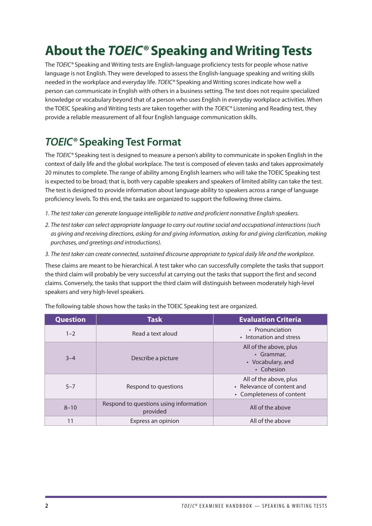# <span id="page-3-0"></span>**About the** *TOEIC®* **Speaking and Writing Tests**

The *TOEIC®* Speaking and Writing tests are English-language proficiency tests for people whose native language is not English. They were developed to assess the English-language speaking and writing skills needed in the workplace and everyday life. *TOEIC®* Speaking and Writing scores indicate how well a person can communicate in English with others in a business setting. The test does not require specialized knowledge or vocabulary beyond that of a person who uses English in everyday workplace activities. When the TOEIC Speaking and Writing tests are taken together with the *TOEIC®* Listening and Reading test, they provide a reliable measurement of all four English language communication skills.

# *TOEIC®* **Speaking Test Format**

The *TOEIC®* Speaking test is designed to measure a person's ability to communicate in spoken English in the context of daily life and the global workplace. The test is composed of eleven tasks and takes approximately 20 minutes to complete. The range of ability among English learners who will take the TOEIC Speaking test is expected to be broad; that is, both very capable speakers and speakers of limited ability can take the test. The test is designed to provide information about language ability to speakers across a range of language proficiency levels. To this end, the tasks are organized to support the following three claims.

- *1. The test taker can generate language intelligible to native and proficient nonnative English speakers.*
- *2. The test taker can select appropriate language to carry out routine social and occupational interactions (such as giving and receiving directions, asking for and giving information, asking for and giving clarification, making purchases, and greetings and introductions).*
- *3. The test taker can create connected, sustained discourse appropriate to typical daily life and the workplace.*

These claims are meant to be hierarchical. A test taker who can successfully complete the tasks that support the third claim will probably be very successful at carrying out the tasks that support the first and second claims. Conversely, the tasks that support the third claim will distinguish between moderately high-level speakers and very high-level speakers.

| <b>Question</b> | <b>Task</b>                                        | <b>Evaluation Criteria</b>                                                        |
|-----------------|----------------------------------------------------|-----------------------------------------------------------------------------------|
| $1 - 2$         | Read a text aloud                                  | • Pronunciation<br>• Intonation and stress                                        |
| $3 - 4$         | Describe a picture                                 | All of the above, plus<br>• Grammar,<br>• Vocabulary, and<br>• Cohesion           |
| $5 - 7$         | Respond to questions                               | All of the above, plus<br>• Relevance of content and<br>• Completeness of content |
| $8 - 10$        | Respond to questions using information<br>provided | All of the above                                                                  |
| 11              | Express an opinion                                 | All of the above                                                                  |

The following table shows how the tasks in the TOEIC Speaking test are organized.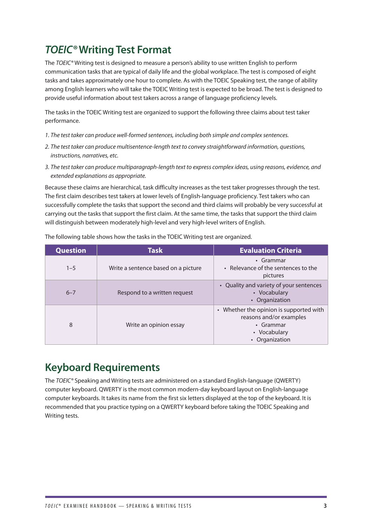# <span id="page-4-0"></span>*TOEIC®* **Writing Test Format**

The *TOEIC®* Writing test is designed to measure a person's ability to use written English to perform communication tasks that are typical of daily life and the global workplace. The test is composed of eight tasks and takes approximately one hour to complete. As with the TOEIC Speaking test, the range of ability among English learners who will take the TOEIC Writing test is expected to be broad. The test is designed to provide useful information about test takers across a range of language proficiency levels.

The tasks in the TOEIC Writing test are organized to support the following three claims about test taker performance.

- *1. The test taker can produce well-formed sentences, including both simple and complex sentences.*
- *2. The test taker can produce multisentence-length text to convey straightforward information, questions, instructions, narratives, etc.*
- *3. The test taker can produce multiparagraph-length text to express complex ideas, using reasons, evidence, and extended explanations as appropriate.*

Because these claims are hierarchical, task difficulty increases as the test taker progresses through the test. The first claim describes test takers at lower levels of English-language proficiency. Test takers who can successfully complete the tasks that support the second and third claims will probably be very successful at carrying out the tasks that support the first claim. At the same time, the tasks that support the third claim will distinguish between moderately high-level and very high-level writers of English.

| <b>Question</b> | <b>Task</b>                         | <b>Evaluation Criteria</b>                                                                                        |
|-----------------|-------------------------------------|-------------------------------------------------------------------------------------------------------------------|
| $1 - 5$         | Write a sentence based on a picture | $\cdot$ Grammar<br>• Relevance of the sentences to the<br>pictures                                                |
| $6 - 7$         | Respond to a written request        | • Quality and variety of your sentences<br>• Vocabulary<br>• Organization                                         |
| 8               | Write an opinion essay              | • Whether the opinion is supported with<br>reasons and/or examples<br>• Grammar<br>• Vocabulary<br>• Organization |

The following table shows how the tasks in the TOEIC Writing test are organized.

## **Keyboard Requirements**

The *TOEIC®* Speaking and Writing tests are administered on a standard English-language (QWERTY) computer keyboard. QWERTY is the most common modern-day keyboard layout on English-language computer keyboards. It takes its name from the first six letters displayed at the top of the keyboard. It is recommended that you practice typing on a QWERTY keyboard before taking the TOEIC Speaking and Writing tests.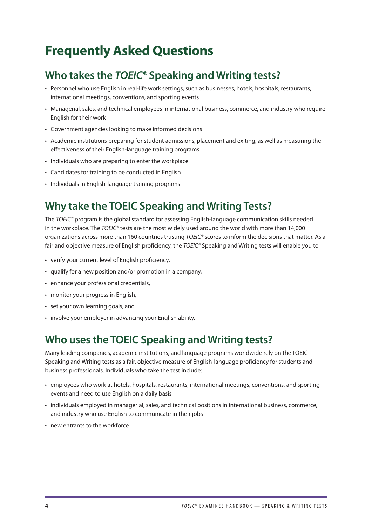# <span id="page-5-0"></span>**Frequently Asked Questions**

# **Who takes the** *TOEIC®* **Speaking and Writing tests?**

- Personnel who use English in real-life work settings, such as businesses, hotels, hospitals, restaurants, international meetings, conventions, and sporting events
- Managerial, sales, and technical employees in international business, commerce, and industry who require English for their work
- Government agencies looking to make informed decisions
- Academic institutions preparing for student admissions, placement and exiting, as well as measuring the effectiveness of their English-language training programs
- Individuals who are preparing to enter the workplace
- Candidates for training to be conducted in English
- Individuals in English-language training programs

# **Why take the TOEIC Speaking and Writing Tests?**

The *TOEIC®* program is the global standard for assessing English-language communication skills needed in the workplace. The *TOEIC®* tests are the most widely used around the world with more than 14,000 organizations across more than 160 countries trusting *TOEIC®* scores to inform the decisions that matter. As a fair and objective measure of English proficiency, the *TOEIC®* Speaking and Writing tests will enable you to

- verify your current level of English proficiency,
- qualify for a new position and/or promotion in a company,
- enhance your professional credentials,
- monitor your progress in English,
- set your own learning goals, and
- involve your employer in advancing your English ability.

## **Who uses the TOEIC Speaking and Writing tests?**

Many leading companies, academic institutions, and language programs worldwide rely on the TOEIC Speaking and Writing tests as a fair, objective measure of English-language proficiency for students and business professionals. Individuals who take the test include:

- employees who work at hotels, hospitals, restaurants, international meetings, conventions, and sporting events and need to use English on a daily basis
- individuals employed in managerial, sales, and technical positions in international business, commerce, and industry who use English to communicate in their jobs
- new entrants to the workforce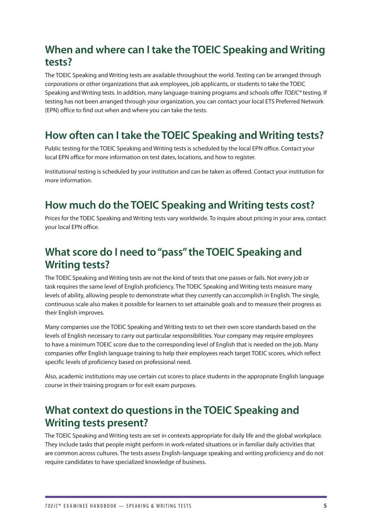# <span id="page-6-0"></span>**When and where can I take the TOEIC Speaking and Writing tests?**

The TOEIC Speaking and Writing tests are available throughout the world. Testing can be arranged through corporations or other organizations that ask employees, job applicants, or students to take the TOEIC Speaking and Writing tests. In addition, many language-training programs and schools offer *TOEIC®* testing. If testing has not been arranged through your organization, you can contact your local ETS Preferred Network (EPN) office to find out when and where you can take the tests.

# **How often can I take the TOEIC Speaking and Writing tests?**

Public testing for the TOEIC Speaking and Writing tests is scheduled by the local EPN office. Contact your local EPN office for more information on test dates, locations, and how to register.

Institutional testing is scheduled by your institution and can be taken as offered. Contact your institution for more information.

## **How much do the TOEIC Speaking and Writing tests cost?**

Prices for the TOEIC Speaking and Writing tests vary worldwide. To inquire about pricing in your area, contact your local EPN office.

## **What score do I need to "pass" the TOEIC Speaking and Writing tests?**

The TOEIC Speaking and Writing tests are not the kind of tests that one passes or fails. Not every job or task requires the same level of English proficiency. The TOEIC Speaking and Writing tests measure many levels of ability, allowing people to demonstrate what they currently can accomplish in English. The single, continuous scale also makes it possible for learners to set attainable goals and to measure their progress as their English improves.

Many companies use the TOEIC Speaking and Writing tests to set their own score standards based on the levels of English necessary to carry out particular responsibilities. Your company may require employees to have a minimum TOEIC score due to the corresponding level of English that is needed on the job. Many companies offer English language training to help their employees reach target TOEIC scores, which reflect specific levels of proficiency based on professional need.

Also, academic institutions may use certain cut scores to place students in the appropriate English language course in their training program or for exit exam purposes.

## **What context do questions in the TOEIC Speaking and Writing tests present?**

The TOEIC Speaking and Writing tests are set in contexts appropriate for daily life and the global workplace. They include tasks that people might perform in work-related situations or in familiar daily activities that are common across cultures. The tests assess English-language speaking and writing proficiency and do not require candidates to have specialized knowledge of business.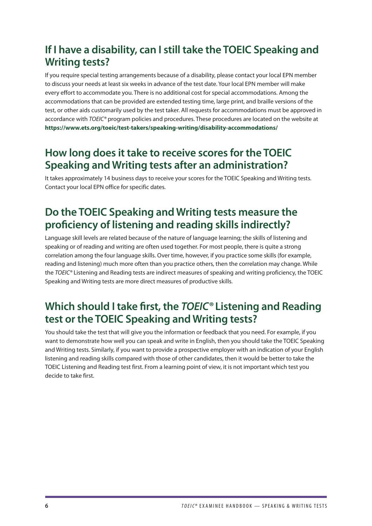# <span id="page-7-0"></span>**If I have a disability, can I still take the TOEIC Speaking and Writing tests?**

If you require special testing arrangements because of a disability, please contact your local EPN member to discuss your needs at least six weeks in advance of the test date. Your local EPN member will make every effort to accommodate you. There is no additional cost for special accommodations. Among the accommodations that can be provided are extended testing time, large print, and braille versions of the test, or other aids customarily used by the test taker. All requests for accommodations must be approved in accordance with *TOEIC®* program policies and procedures. These procedures are located on the website at **<https://www.ets.org/toeic/test-takers/speaking-writing/disability-accommodations/>**

## **How long does it take to receive scores for the TOEIC Speaking and Writing tests after an administration?**

It takes approximately 14 business days to receive your scores for the TOEIC Speaking and Writing tests. Contact your local EPN office for specific dates.

# **Do the TOEIC Speaking and Writing tests measure the proficiency of listening and reading skills indirectly?**

Language skill levels are related because of the nature of language learning; the skills of listening and speaking or of reading and writing are often used together. For most people, there is quite a strong correlation among the four language skills. Over time, however, if you practice some skills (for example, reading and listening) much more often than you practice others, then the correlation may change. While the *TOEIC®* Listening and Reading tests are indirect measures of speaking and writing proficiency, the TOEIC Speaking and Writing tests are more direct measures of productive skills.

## **Which should I take first, the** *TOEIC®* **Listening and Reading test or the TOEIC Speaking and Writing tests?**

You should take the test that will give you the information or feedback that you need. For example, if you want to demonstrate how well you can speak and write in English, then you should take the TOEIC Speaking and Writing tests. Similarly, if you want to provide a prospective employer with an indication of your English listening and reading skills compared with those of other candidates, then it would be better to take the TOEIC Listening and Reading test first. From a learning point of view, it is not important which test you decide to take first.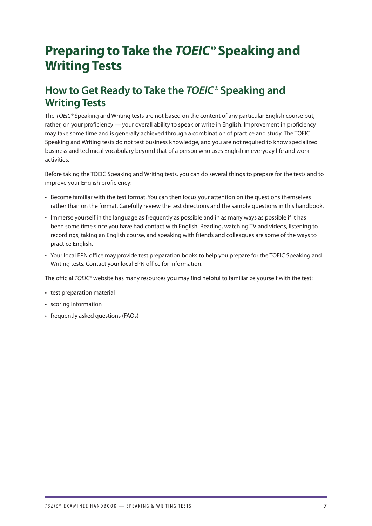# <span id="page-8-0"></span>**Preparing to Take the** *TOEIC®* **Speaking and Writing Tests**

## **How to Get Ready to Take the** *TOEIC®* **Speaking and Writing Tests**

The *TOEIC®* Speaking and Writing tests are not based on the content of any particular English course but, rather, on your proficiency — your overall ability to speak or write in English. Improvement in proficiency may take some time and is generally achieved through a combination of practice and study. The TOEIC Speaking and Writing tests do not test business knowledge, and you are not required to know specialized business and technical vocabulary beyond that of a person who uses English in everyday life and work activities.

Before taking the TOEIC Speaking and Writing tests, you can do several things to prepare for the tests and to improve your English proficiency:

- Become familiar with the test format. You can then focus your attention on the questions themselves rather than on the format. Carefully review the test directions and the sample questions in this handbook.
- Immerse yourself in the language as frequently as possible and in as many ways as possible if it has been some time since you have had contact with English. Reading, watching TV and videos, listening to recordings, taking an English course, and speaking with friends and colleagues are some of the ways to practice English.
- Your local EPN office may provide test preparation books to help you prepare for the TOEIC Speaking and Writing tests. Contact your local EPN office for information.

The official *TOEIC®* website has many resources you may find helpful to familiarize yourself with the test:

- test preparation material
- scoring information
- frequently asked questions (FAQs)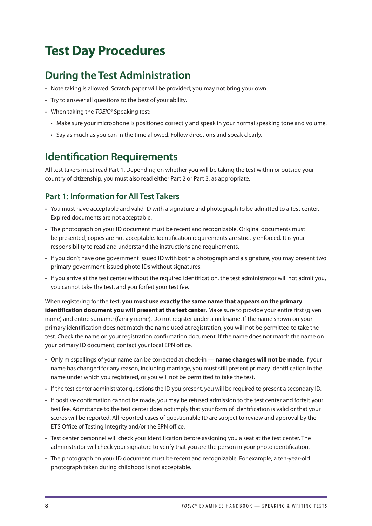# <span id="page-9-0"></span>**Test Day Procedures**

## **During the Test Administration**

- Note taking is allowed. Scratch paper will be provided; you may not bring your own.
- Try to answer all questions to the best of your ability.
- When taking the *TOEIC®* Speaking test:
	- Make sure your microphone is positioned correctly and speak in your normal speaking tone and volume.
	- Say as much as you can in the time allowed. Follow directions and speak clearly.

## **Identification Requirements**

All test takers must read Part 1. Depending on whether you will be taking the test within or outside your country of citizenship, you must also read either Part 2 or Part 3, as appropriate.

## **Part 1: Information for All Test Takers**

- You must have acceptable and valid ID with a signature and photograph to be admitted to a test center. Expired documents are not acceptable.
- The photograph on your ID document must be recent and recognizable. Original documents must be presented; copies are not acceptable. Identification requirements are strictly enforced. It is your responsibility to read and understand the instructions and requirements.
- If you don't have one government issued ID with both a photograph and a signature, you may present two primary government-issued photo IDs without signatures.
- If you arrive at the test center without the required identification, the test administrator will not admit you, you cannot take the test, and you forfeit your test fee.

When registering for the test, **you must use exactly the same name that appears on the primary identification document you will present at the test center**. Make sure to provide your entire first (given name) and entire surname (family name). Do not register under a nickname. If the name shown on your primary identification does not match the name used at registration, you will not be permitted to take the test. Check the name on your registration confirmation document. If the name does not match the name on your primary ID document, contact your local EPN office.

- Only misspellings of your name can be corrected at check-in **name changes will not be made**. If your name has changed for any reason, including marriage, you must still present primary identification in the name under which you registered, or you will not be permitted to take the test.
- If the test center administrator questions the ID you present, you will be required to present a secondary ID.
- If positive confirmation cannot be made, you may be refused admission to the test center and forfeit your test fee. Admittance to the test center does not imply that your form of identification is valid or that your scores will be reported. All reported cases of questionable ID are subject to review and approval by the ETS Office of Testing Integrity and/or the EPN office.
- Test center personnel will check your identification before assigning you a seat at the test center. The administrator will check your signature to verify that you are the person in your photo identification.
- The photograph on your ID document must be recent and recognizable. For example, a ten-year-old photograph taken during childhood is not acceptable.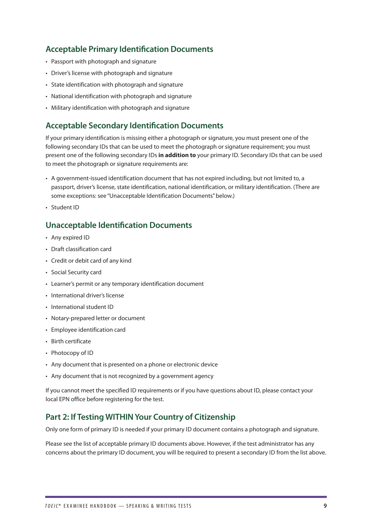## **Acceptable Primary Identification Documents**

- Passport with photograph and signature
- Driver's license with photograph and signature
- State identification with photograph and signature
- National identification with photograph and signature
- Military identification with photograph and signature

### **Acceptable Secondary Identification Documents**

If your primary identification is missing either a photograph or signature, you must present one of the following secondary IDs that can be used to meet the photograph or signature requirement; you must present one of the following secondary IDs **in addition to** your primary ID. Secondary IDs that can be used to meet the photograph or signature requirements are:

- A government-issued identification document that has not expired including, but not limited to, a passport, driver's license, state identification, national identification, or military identification. (There are some exceptions: see "Unacceptable Identification Documents" below.)
- Student ID

### **Unacceptable Identification Documents**

- Any expired ID
- Draft classification card
- Credit or debit card of any kind
- Social Security card
- Learner's permit or any temporary identification document
- International driver's license
- International student ID
- Notary-prepared letter or document
- Employee identification card
- Birth certificate
- Photocopy of ID
- Any document that is presented on a phone or electronic device
- Any document that is not recognized by a government agency

If you cannot meet the specified ID requirements or if you have questions about ID, please contact your local EPN office before registering for the test.

### **Part 2: If Testing WITHIN Your Country of Citizenship**

Only one form of primary ID is needed if your primary ID document contains a photograph and signature.

Please see the list of acceptable primary ID documents above. However, if the test administrator has any concerns about the primary ID document, you will be required to present a secondary ID from the list above.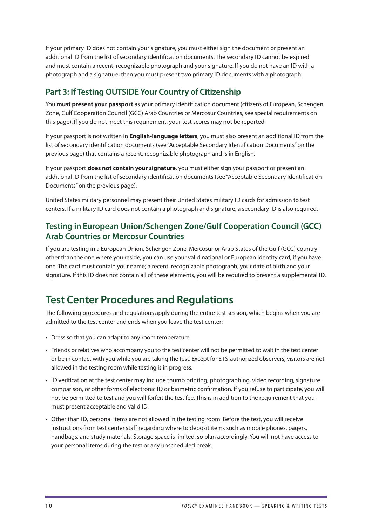<span id="page-11-0"></span>If your primary ID does not contain your signature, you must either sign the document or present an additional ID from the list of secondary identification documents. The secondary ID cannot be expired and must contain a recent, recognizable photograph and your signature. If you do not have an ID with a photograph and a signature, then you must present two primary ID documents with a photograph.

## **Part 3: If Testing OUTSIDE Your Country of Citizenship**

You **must present your passport** as your primary identification document (citizens of European, Schengen Zone, Gulf Cooperation Council (GCC) Arab Countries or Mercosur Countries, see special requirements on this page). If you do not meet this requirement, your test scores may not be reported.

If your passport is not written in **English-language letters**, you must also present an additional ID from the list of secondary identification documents (see "Acceptable Secondary Identification Documents" on the previous page) that contains a recent, recognizable photograph and is in English.

If your passport **does not contain your signature**, you must either sign your passport or present an additional ID from the list of secondary identification documents (see "Acceptable Secondary Identification Documents" on the previous page).

United States military personnel may present their United States military ID cards for admission to test centers. If a military ID card does not contain a photograph and signature, a secondary ID is also required.

## **Testing in European Union/Schengen Zone/Gulf Cooperation Council (GCC) Arab Countries or Mercosur Countries**

If you are testing in a European Union, Schengen Zone, Mercosur or Arab States of the Gulf (GCC) country other than the one where you reside, you can use your valid national or European identity card, if you have one. The card must contain your name; a recent, recognizable photograph; your date of birth and your signature. If this ID does not contain all of these elements, you will be required to present a supplemental ID.

## **Test Center Procedures and Regulations**

The following procedures and regulations apply during the entire test session, which begins when you are admitted to the test center and ends when you leave the test center:

- Dress so that you can adapt to any room temperature.
- Friends or relatives who accompany you to the test center will not be permitted to wait in the test center or be in contact with you while you are taking the test. Except for ETS-authorized observers, visitors are not allowed in the testing room while testing is in progress.
- ID verification at the test center may include thumb printing, photographing, video recording, signature comparison, or other forms of electronic ID or biometric confirmation. If you refuse to participate, you will not be permitted to test and you will forfeit the test fee. This is in addition to the requirement that you must present acceptable and valid ID.
- Other than ID, personal items are not allowed in the testing room. Before the test, you will receive instructions from test center staff regarding where to deposit items such as mobile phones, pagers, handbags, and study materials. Storage space is limited, so plan accordingly. You will not have access to your personal items during the test or any unscheduled break.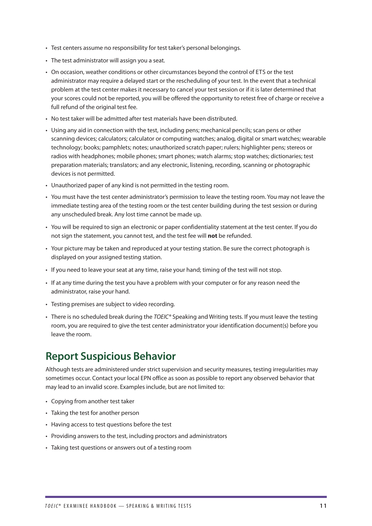- <span id="page-12-0"></span>• Test centers assume no responsibility for test taker's personal belongings.
- The test administrator will assign you a seat.
- On occasion, weather conditions or other circumstances beyond the control of ETS or the test administrator may require a delayed start or the rescheduling of your test. In the event that a technical problem at the test center makes it necessary to cancel your test session or if it is later determined that your scores could not be reported, you will be offered the opportunity to retest free of charge or receive a full refund of the original test fee.
- No test taker will be admitted after test materials have been distributed.
- Using any aid in connection with the test, including pens; mechanical pencils; scan pens or other scanning devices; calculators; calculator or computing watches; analog, digital or smart watches; wearable technology; books; pamphlets; notes; unauthorized scratch paper; rulers; highlighter pens; stereos or radios with headphones; mobile phones; smart phones; watch alarms; stop watches; dictionaries; test preparation materials; translators; and any electronic, listening, recording, scanning or photographic devices is not permitted.
- Unauthorized paper of any kind is not permitted in the testing room.
- You must have the test center administrator's permission to leave the testing room. You may not leave the immediate testing area of the testing room or the test center building during the test session or during any unscheduled break. Any lost time cannot be made up.
- You will be required to sign an electronic or paper confidentiality statement at the test center. If you do not sign the statement, you cannot test, and the test fee will **not** be refunded.
- Your picture may be taken and reproduced at your testing station. Be sure the correct photograph is displayed on your assigned testing station.
- If you need to leave your seat at any time, raise your hand; timing of the test will not stop.
- If at any time during the test you have a problem with your computer or for any reason need the administrator, raise your hand.
- Testing premises are subject to video recording.
- There is no scheduled break during the *TOEIC®* Speaking and Writing tests. If you must leave the testing room, you are required to give the test center administrator your identification document(s) before you leave the room.

## **Report Suspicious Behavior**

Although tests are administered under strict supervision and security measures, testing irregularities may sometimes occur. Contact your local EPN office as soon as possible to report any observed behavior that may lead to an invalid score. Examples include, but are not limited to:

- Copying from another test taker
- Taking the test for another person
- Having access to test questions before the test
- Providing answers to the test, including proctors and administrators
- Taking test questions or answers out of a testing room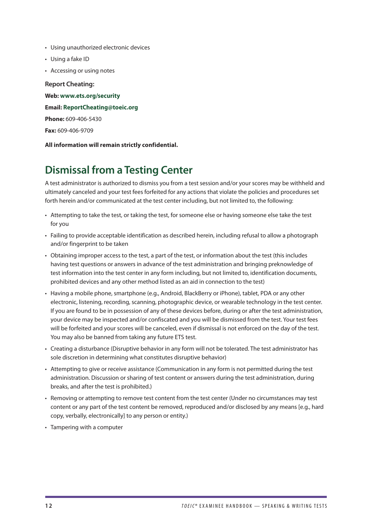- <span id="page-13-0"></span>• Using unauthorized electronic devices
- Using a fake ID
- Accessing or using notes

**Report Cheating: Web: [www.ets.org/security](http://www.ets.org/security) Email: [ReportCheating@toeic.org](mailto:?subject=) Phone:** 609-406-5430 **Fax:** 609-406-9709

### **All information will remain strictly confidential.**

## **Dismissal from a Testing Center**

A test administrator is authorized to dismiss you from a test session and/or your scores may be withheld and ultimately canceled and your test fees forfeited for any actions that violate the policies and procedures set forth herein and/or communicated at the test center including, but not limited to, the following:

- Attempting to take the test, or taking the test, for someone else or having someone else take the test for you
- Failing to provide acceptable identification as described herein, including refusal to allow a photograph and/or fingerprint to be taken
- Obtaining improper access to the test, a part of the test, or information about the test (this includes having test questions or answers in advance of the test administration and bringing preknowledge of test information into the test center in any form including, but not limited to, identification documents, prohibited devices and any other method listed as an aid in connection to the test)
- Having a mobile phone, smartphone (e.g., Android, BlackBerry or iPhone), tablet, PDA or any other electronic, listening, recording, scanning, photographic device, or wearable technology in the test center. If you are found to be in possession of any of these devices before, during or after the test administration, your device may be inspected and/or confiscated and you will be dismissed from the test. Your test fees will be forfeited and your scores will be canceled, even if dismissal is not enforced on the day of the test. You may also be banned from taking any future ETS test.
- Creating a disturbance (Disruptive behavior in any form will not be tolerated. The test administrator has sole discretion in determining what constitutes disruptive behavior)
- Attempting to give or receive assistance (Communication in any form is not permitted during the test administration. Discussion or sharing of test content or answers during the test administration, during breaks, and after the test is prohibited.)
- Removing or attempting to remove test content from the test center (Under no circumstances may test content or any part of the test content be removed, reproduced and/or disclosed by any means [e.g., hard copy, verbally, electronically] to any person or entity.)
- Tampering with a computer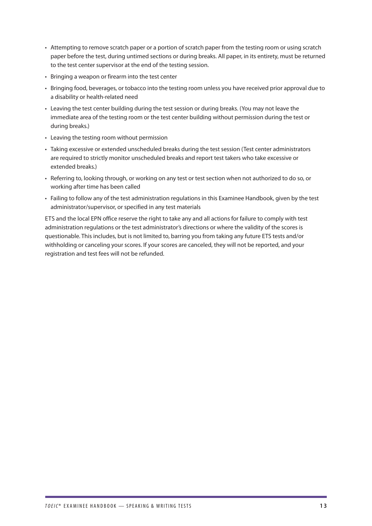- Attempting to remove scratch paper or a portion of scratch paper from the testing room or using scratch paper before the test, during untimed sections or during breaks. All paper, in its entirety, must be returned to the test center supervisor at the end of the testing session.
- Bringing a weapon or firearm into the test center
- Bringing food, beverages, or tobacco into the testing room unless you have received prior approval due to a disability or health-related need
- Leaving the test center building during the test session or during breaks. (You may not leave the immediate area of the testing room or the test center building without permission during the test or during breaks.)
- Leaving the testing room without permission
- Taking excessive or extended unscheduled breaks during the test session (Test center administrators are required to strictly monitor unscheduled breaks and report test takers who take excessive or extended breaks.)
- Referring to, looking through, or working on any test or test section when not authorized to do so, or working after time has been called
- Failing to follow any of the test administration regulations in this Examinee Handbook, given by the test administrator/supervisor, or specified in any test materials

ETS and the local EPN office reserve the right to take any and all actions for failure to comply with test administration regulations or the test administrator's directions or where the validity of the scores is questionable. This includes, but is not limited to, barring you from taking any future ETS tests and/or withholding or canceling your scores. If your scores are canceled, they will not be reported, and your registration and test fees will not be refunded.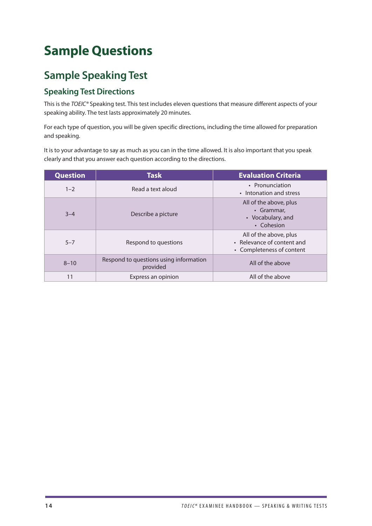# <span id="page-15-0"></span>**Sample Questions**

# **Sample Speaking Test**

## **Speaking Test Directions**

This is the *TOEIC®* Speaking test. This test includes eleven questions that measure different aspects of your speaking ability. The test lasts approximately 20 minutes.

For each type of question, you will be given specific directions, including the time allowed for preparation and speaking.

It is to your advantage to say as much as you can in the time allowed. It is also important that you speak clearly and that you answer each question according to the directions.

| <b>Question</b> | <b>Task</b>                                        | <b>Evaluation Criteria</b>                                                        |
|-----------------|----------------------------------------------------|-----------------------------------------------------------------------------------|
| $1 - 2$         | Read a text aloud                                  | • Pronunciation<br>• Intonation and stress                                        |
| $3 - 4$         | Describe a picture                                 | All of the above, plus<br>• Grammar.<br>• Vocabulary, and<br>• Cohesion           |
| $5 - 7$         | Respond to questions                               | All of the above, plus<br>• Relevance of content and<br>• Completeness of content |
| $8 - 10$        | Respond to questions using information<br>provided | All of the above                                                                  |
| 11              | Express an opinion                                 | All of the above                                                                  |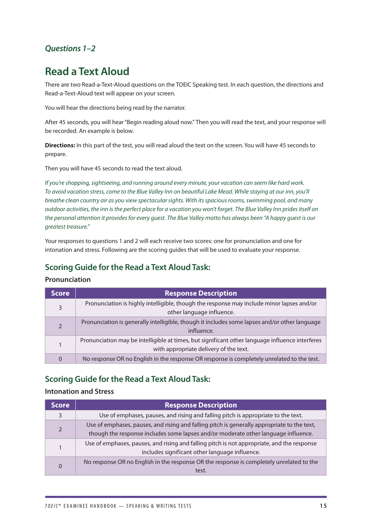## <span id="page-16-0"></span>*Questions 1–2*

## **Read a Text Aloud**

There are two Read-a-Text-Aloud questions on the TOEIC Speaking test. In each question, the directions and Read-a-Text-Aloud text will appear on your screen.

You will hear the directions being read by the narrator.

After 45 seconds, you will hear "Begin reading aloud now." Then you will read the text, and your response will be recorded. An example is below.

**Directions:** In this part of the test, you will read aloud the text on the screen. You will have 45 seconds to prepare.

Then you will have 45 seconds to read the text aloud.

*If you're shopping, sightseeing, and running around every minute, your vacation can seem like hard work. To avoid vacation stress, come to the Blue Valley Inn on beautiful Lake Mead. While staying at our inn, you'll breathe clean country air as you view spectacular sights. With its spacious rooms, swimming pool, and many outdoor activities, the inn is the perfect place for a vacation you won't forget. The Blue Valley Inn prides itself on the personal attention it provides for every guest. The Blue Valley motto has always been "A happy guest is our greatest treasure."*

Your responses to questions 1 and 2 will each receive two scores: one for pronunciation and one for intonation and stress. Following are the scoring guides that will be used to evaluate your response.

## **Scoring Guide for the Read a Text Aloud Task:**

### **Pronunciation**

| <b>Score</b> | <b>Response Description</b>                                                                                                               |  |  |
|--------------|-------------------------------------------------------------------------------------------------------------------------------------------|--|--|
| 3            | Pronunciation is highly intelligible, though the response may include minor lapses and/or<br>other language influence.                    |  |  |
|              | Pronunciation is generally intelligible, though it includes some lapses and/or other language<br>influence.                               |  |  |
|              | Pronunciation may be intelligible at times, but significant other language influence interferes<br>with appropriate delivery of the text. |  |  |
| 0            | No response OR no English in the response OR response is completely unrelated to the test.                                                |  |  |

### **Scoring Guide for the Read a Text Aloud Task:**

### **Intonation and Stress**

| <b>Score</b> | <b>Response Description</b>                                                                                                                                                       |
|--------------|-----------------------------------------------------------------------------------------------------------------------------------------------------------------------------------|
|              | Use of emphases, pauses, and rising and falling pitch is appropriate to the text.                                                                                                 |
|              | Use of emphases, pauses, and rising and falling pitch is generally appropriate to the text,<br>though the response includes some lapses and/or moderate other language influence. |
|              | Use of emphases, pauses, and rising and falling pitch is not appropriate, and the response<br>includes significant other language influence.                                      |
|              | No response OR no English in the response OR the response is completely unrelated to the<br>test.                                                                                 |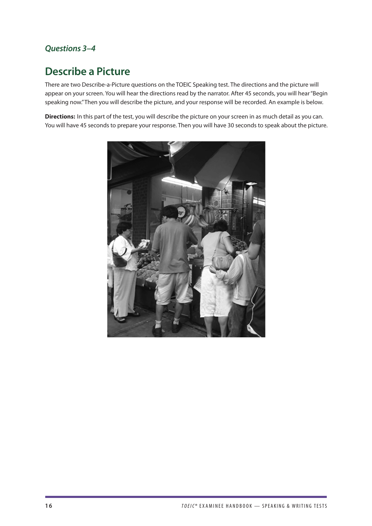## <span id="page-17-0"></span>*Questions 3–4*

## **Describe a Picture**

There are two Describe-a-Picture questions on the TOEIC Speaking test. The directions and the picture will appear on your screen. You will hear the directions read by the narrator. After 45 seconds, you will hear "Begin speaking now." Then you will describe the picture, and your response will be recorded. An example is below.

**Directions:** In this part of the test, you will describe the picture on your screen in as much detail as you can. You will have 45 seconds to prepare your response. Then you will have 30 seconds to speak about the picture.

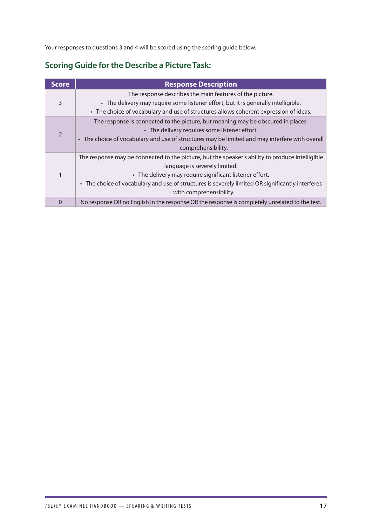Your responses to questions 3 and 4 will be scored using the scoring guide below.

## **Scoring Guide for the Describe a Picture Task:**

| <b>Score</b>   | <b>Response Description</b>                                                                                                                                                                                                                                                                                                |
|----------------|----------------------------------------------------------------------------------------------------------------------------------------------------------------------------------------------------------------------------------------------------------------------------------------------------------------------------|
| 3              | The response describes the main features of the picture.<br>• The delivery may require some listener effort, but it is generally intelligible.<br>• The choice of vocabulary and use of structures allows coherent expression of ideas.                                                                                    |
| $\overline{2}$ | The response is connected to the picture, but meaning may be obscured in places.<br>• The delivery requires some listener effort.<br>• The choice of vocabulary and use of structures may be limited and may interfere with overall<br>comprehensibility.                                                                  |
|                | The response may be connected to the picture, but the speaker's ability to produce intelligible<br>language is severely limited.<br>• The delivery may require significant listener effort.<br>• The choice of vocabulary and use of structures is severely limited OR significantly interferes<br>with comprehensibility. |
| 0              | No response OR no English in the response OR the response is completely unrelated to the test.                                                                                                                                                                                                                             |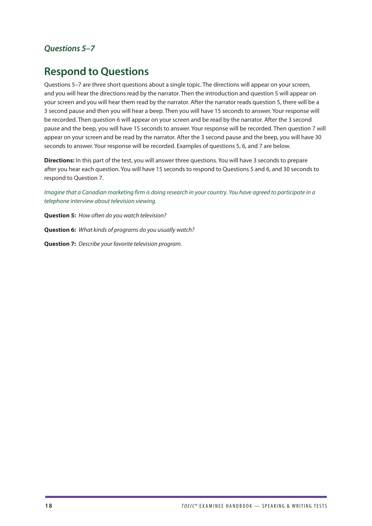## <span id="page-19-0"></span>*Questions 5–7*

## **Respond to Questions**

Questions 5–7 are three short questions about a single topic. The directions will appear on your screen, and you will hear the directions read by the narrator. Then the introduction and question 5 will appear on your screen and you will hear them read by the narrator. After the narrator reads question 5, there will be a 3 second pause and then you will hear a beep. Then you will have 15 seconds to answer. Your response will be recorded. Then question 6 will appear on your screen and be read by the narrator. After the 3 second pause and the beep, you will have 15 seconds to answer. Your response will be recorded. Then question 7 will appear on your screen and be read by the narrator. After the 3 second pause and the beep, you will have 30 seconds to answer. Your response will be recorded. Examples of questions 5, 6, and 7 are below.

**Directions:** In this part of the test, you will answer three questions. You will have 3 seconds to prepare after you hear each question. You will have 15 seconds to respond to Questions 5 and 6, and 30 seconds to respond to Question 7.

*Imagine that a Canadian marketing firm is doing research in your country. You have agreed to participate in a telephone interview about television viewing.* 

**Question 5:** *How often do you watch television?* 

**Question 6:** *What kinds of programs do you usually watch?* 

**Question 7:** *Describe your favorite television program.*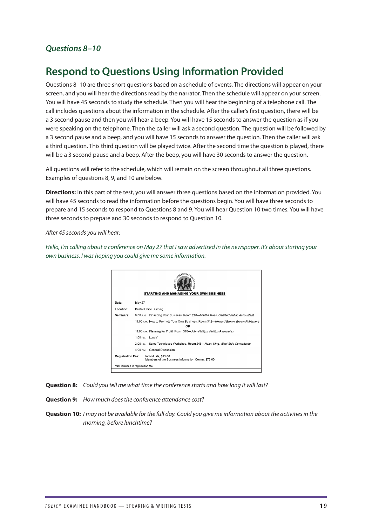### <span id="page-20-0"></span>*Questions 8–10*

## **Respond to Questions Using Information Provided**

Questions 8–10 are three short questions based on a schedule of events. The directions will appear on your screen, and you will hear the directions read by the narrator. Then the schedule will appear on your screen. You will have 45 seconds to study the schedule. Then you will hear the beginning of a telephone call. The call includes questions about the information in the schedule. After the caller's first question, there will be a 3 second pause and then you will hear a beep. You will have 15 seconds to answer the question as if you were speaking on the telephone. Then the caller will ask a second question. The question will be followed by a 3 second pause and a beep, and you will have 15 seconds to answer the question. Then the caller will ask a third question. This third question will be played twice. After the second time the question is played, there will be a 3 second pause and a beep. After the beep, you will have 30 seconds to answer the question.

All questions will refer to the schedule, which will remain on the screen throughout all three questions. Examples of questions 8, 9, and 10 are below.

**Directions:** In this part of the test, you will answer three questions based on the information provided. You will have 45 seconds to read the information before the questions begin. You will have three seconds to prepare and 15 seconds to respond to Questions 8 and 9. You will hear Question 10 two times. You will have three seconds to prepare and 30 seconds to respond to Question 10.

*After 45 seconds you will hear:* 

*Hello, I'm calling about a conference on May 27 that I saw advertised in the newspaper. It's about starting your own business. I was hoping you could give me some information.* 



**Question 8:** *Could you tell me what time the conference starts and how long it will last?* 

**Question 9:** *How much does the conference attendance cost?* 

**Question 10:** *I may not be available for the full day. Could you give me information about the activities in the morning, before lunchtime?*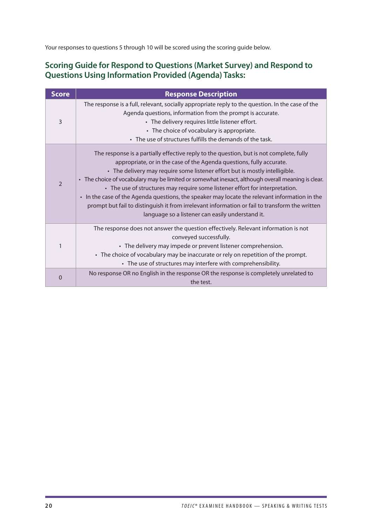Your responses to questions 5 through 10 will be scored using the scoring guide below.

## **Scoring Guide for Respond to Questions (Market Survey) and Respond to Questions Using Information Provided (Agenda) Tasks:**

| <b>Score</b>   | <b>Response Description</b>                                                                                                                                                                                                                                                                                                                                                                                                                                                                                                                                                                                                                                                                |
|----------------|--------------------------------------------------------------------------------------------------------------------------------------------------------------------------------------------------------------------------------------------------------------------------------------------------------------------------------------------------------------------------------------------------------------------------------------------------------------------------------------------------------------------------------------------------------------------------------------------------------------------------------------------------------------------------------------------|
| 3              | The response is a full, relevant, socially appropriate reply to the question. In the case of the<br>Agenda questions, information from the prompt is accurate.<br>• The delivery requires little listener effort.<br>• The choice of vocabulary is appropriate.<br>• The use of structures fulfills the demands of the task.                                                                                                                                                                                                                                                                                                                                                               |
| $\mathfrak{D}$ | The response is a partially effective reply to the question, but is not complete, fully<br>appropriate, or in the case of the Agenda questions, fully accurate.<br>• The delivery may require some listener effort but is mostly intelligible.<br>• The choice of vocabulary may be limited or somewhat inexact, although overall meaning is clear.<br>• The use of structures may require some listener effort for interpretation.<br>• In the case of the Agenda questions, the speaker may locate the relevant information in the<br>prompt but fail to distinguish it from irrelevant information or fail to transform the written<br>language so a listener can easily understand it. |
| 1              | The response does not answer the question effectively. Relevant information is not<br>conveyed successfully.<br>• The delivery may impede or prevent listener comprehension.<br>• The choice of vocabulary may be inaccurate or rely on repetition of the prompt.<br>• The use of structures may interfere with comprehensibility.                                                                                                                                                                                                                                                                                                                                                         |
| $\Omega$       | No response OR no English in the response OR the response is completely unrelated to<br>the test.                                                                                                                                                                                                                                                                                                                                                                                                                                                                                                                                                                                          |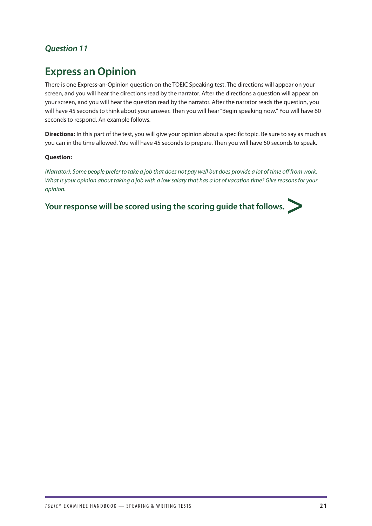## <span id="page-22-0"></span>*Question 11*

## **Express an Opinion**

There is one Express-an-Opinion question on the TOEIC Speaking test. The directions will appear on your screen, and you will hear the directions read by the narrator. After the directions a question will appear on your screen, and you will hear the question read by the narrator. After the narrator reads the question, you will have 45 seconds to think about your answer. Then you will hear "Begin speaking now." You will have 60 seconds to respond. An example follows.

**Directions:** In this part of the test, you will give your opinion about a specific topic. Be sure to say as much as you can in the time allowed. You will have 45 seconds to prepare. Then you will have 60 seconds to speak.

### **Question:**

*(Narrator): Some people prefer to take a job that does not pay well but does provide a lot of time off from work. What is your opinion about taking a job with a low salary that has a lot of vacation time? Give reasons for your opinion.* 

Your response will be scored using the scoring guide that follows.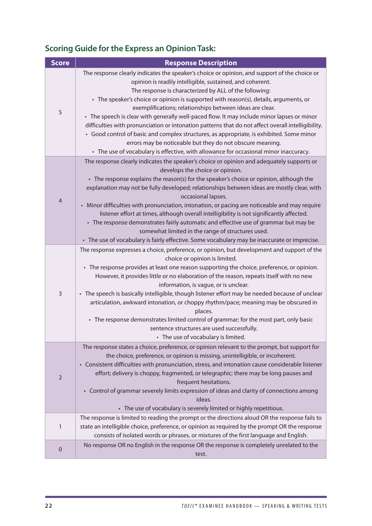## **Scoring Guide for the Express an Opinion Task:**

| <b>Score</b>   | <b>Response Description</b>                                                                                                                                                                                                                                                                                                                                                                                                                                                                                                                                                                                                                                                                                                                                                                                                    |  |  |
|----------------|--------------------------------------------------------------------------------------------------------------------------------------------------------------------------------------------------------------------------------------------------------------------------------------------------------------------------------------------------------------------------------------------------------------------------------------------------------------------------------------------------------------------------------------------------------------------------------------------------------------------------------------------------------------------------------------------------------------------------------------------------------------------------------------------------------------------------------|--|--|
| 5              | The response clearly indicates the speaker's choice or opinion, and support of the choice or<br>opinion is readily intelligible, sustained, and coherent.<br>The response is characterized by ALL of the following:<br>• The speaker's choice or opinion is supported with reason(s), details, arguments, or<br>exemplifications; relationships between ideas are clear.<br>• The speech is clear with generally well-paced flow. It may include minor lapses or minor<br>difficulties with pronunciation or intonation patterns that do not affect overall intelligibility.<br>• Good control of basic and complex structures, as appropriate, is exhibited. Some minor<br>errors may be noticeable but they do not obscure meaning.<br>• The use of vocabulary is effective, with allowance for occasional minor inaccuracy. |  |  |
| $\overline{4}$ | The response clearly indicates the speaker's choice or opinion and adequately supports or<br>develops the choice or opinion.<br>• The response explains the reason(s) for the speaker's choice or opinion, although the<br>explanation may not be fully developed; relationships between ideas are mostly clear, with<br>occasional lapses.<br>• Minor difficulties with pronunciation, intonation, or pacing are noticeable and may require<br>listener effort at times, although overall intelligibility is not significantly affected.<br>• The response demonstrates fairly automatic and effective use of grammar but may be<br>somewhat limited in the range of structures used.<br>• The use of vocabulary is fairly effective. Some vocabulary may be inaccurate or imprecise.                                         |  |  |
| 3              | The response expresses a choice, preference, or opinion, but development and support of the<br>choice or opinion is limited.<br>• The response provides at least one reason supporting the choice, preference, or opinion.<br>However, it provides little or no elaboration of the reason, repeats itself with no new<br>information, is vague, or is unclear.<br>• The speech is basically intelligible, though listener effort may be needed because of unclear<br>articulation, awkward intonation, or choppy rhythm/pace; meaning may be obscured in<br>places.<br>• The response demonstrates limited control of grammar; for the most part, only basic<br>sentence structures are used successfully.<br>• The use of vocabulary is limited.                                                                              |  |  |
| $\overline{2}$ | The response states a choice, preference, or opinion relevant to the prompt, but support for<br>the choice, preference, or opinion is missing, unintelligible, or incoherent.<br>• Consistent difficulties with pronunciation, stress, and intonation cause considerable listener<br>effort; delivery is choppy, fragmented, or telegraphic; there may be long pauses and<br>frequent hesitations.<br>• Control of grammar severely limits expression of ideas and clarity of connections among<br>ideas.<br>• The use of vocabulary is severely limited or highly repetitious.                                                                                                                                                                                                                                                |  |  |
| 1              | The response is limited to reading the prompt or the directions aloud OR the response fails to<br>state an intelligible choice, preference, or opinion as required by the prompt OR the response<br>consists of isolated words or phrases, or mixtures of the first language and English.                                                                                                                                                                                                                                                                                                                                                                                                                                                                                                                                      |  |  |
| 0              | No response OR no English in the response OR the response is completely unrelated to the<br>test.                                                                                                                                                                                                                                                                                                                                                                                                                                                                                                                                                                                                                                                                                                                              |  |  |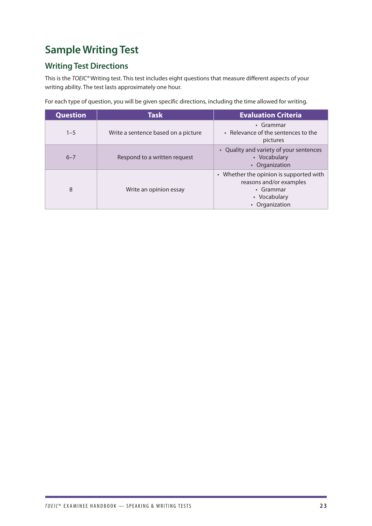# <span id="page-24-0"></span>**Sample Writing Test**

## **Writing Test Directions**

This is the *TOEIC®* Writing test. This test includes eight questions that measure different aspects of your writing ability. The test lasts approximately one hour.

For each type of question, you will be given specific directions, including the time allowed for writing.

| <b>Question</b> | <b>Task</b>                         | <b>Evaluation Criteria</b>                                                                                        |
|-----------------|-------------------------------------|-------------------------------------------------------------------------------------------------------------------|
| $1 - 5$         | Write a sentence based on a picture | • Grammar<br>• Relevance of the sentences to the<br>pictures                                                      |
| $6 - 7$         | Respond to a written request        | • Quality and variety of your sentences<br>• Vocabulary<br>• Organization                                         |
| 8               | Write an opinion essay              | • Whether the opinion is supported with<br>reasons and/or examples<br>• Grammar<br>• Vocabulary<br>• Organization |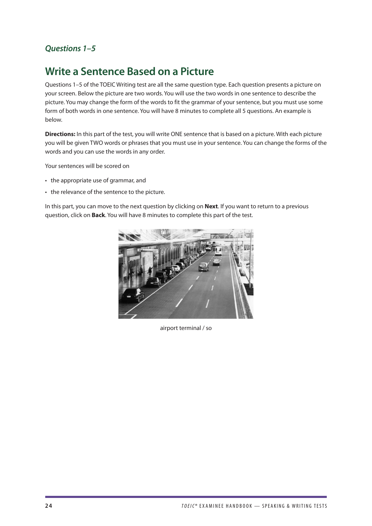## <span id="page-25-0"></span>*Questions 1–5*

## **Write a Sentence Based on a Picture**

Questions 1–5 of the TOEIC Writing test are all the same question type. Each question presents a picture on your screen. Below the picture are two words. You will use the two words in one sentence to describe the picture. You may change the form of the words to fit the grammar of your sentence, but you must use some form of both words in one sentence. You will have 8 minutes to complete all 5 questions. An example is below.

**Directions:** In this part of the test, you will write ONE sentence that is based on a picture. With each picture you will be given TWO words or phrases that you must use in your sentence. You can change the forms of the words and you can use the words in any order.

Your sentences will be scored on

- the appropriate use of grammar, and
- the relevance of the sentence to the picture.

In this part, you can move to the next question by clicking on **Next**. If you want to return to a previous question, click on **Back**. You will have 8 minutes to complete this part of the test.



airport terminal / so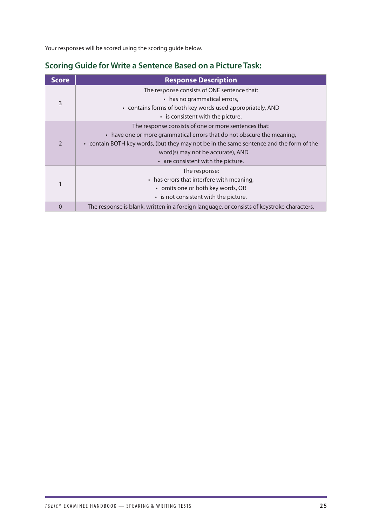Your responses will be scored using the scoring guide below.

## **Scoring Guide for Write a Sentence Based on a Picture Task:**

| <b>Score</b>  | <b>Response Description</b>                                                                |  |  |
|---------------|--------------------------------------------------------------------------------------------|--|--|
| 3             | The response consists of ONE sentence that:                                                |  |  |
|               | • has no grammatical errors,                                                               |  |  |
|               | • contains forms of both key words used appropriately, AND                                 |  |  |
|               | • is consistent with the picture.                                                          |  |  |
| $\mathcal{P}$ | The response consists of one or more sentences that:                                       |  |  |
|               | • have one or more grammatical errors that do not obscure the meaning,                     |  |  |
|               | • contain BOTH key words, (but they may not be in the same sentence and the form of the    |  |  |
|               | word(s) may not be accurate), AND                                                          |  |  |
|               | • are consistent with the picture.                                                         |  |  |
|               | The response:                                                                              |  |  |
|               | • has errors that interfere with meaning,                                                  |  |  |
|               | • omits one or both key words, OR                                                          |  |  |
|               | • is not consistent with the picture.                                                      |  |  |
| 0             | The response is blank, written in a foreign language, or consists of keystroke characters. |  |  |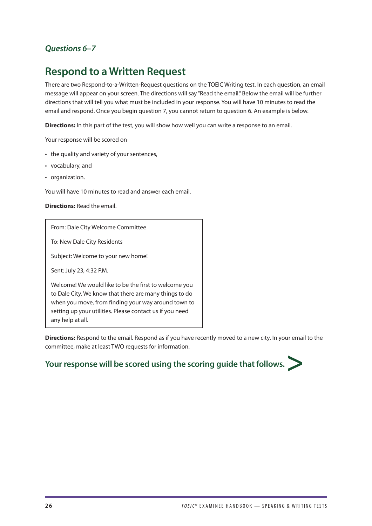## <span id="page-27-0"></span>*Questions 6–7*

## **Respond to a Written Request**

There are two Respond-to-a-Written-Request questions on the TOEIC Writing test. In each question, an email message will appear on your screen. The directions will say "Read the email." Below the email will be further directions that will tell you what must be included in your response. You will have 10 minutes to read the email and respond. Once you begin question 7, you cannot return to question 6. An example is below.

**Directions:** In this part of the test, you will show how well you can write a response to an email.

Your response will be scored on

- the quality and variety of your sentences,
- vocabulary, and
- organization.

You will have 10 minutes to read and answer each email.

**Directions:** Read the email.

From: Dale City Welcome Committee

To: New Dale City Residents

Subject: Welcome to your new home!

Sent: July 23, 4:32 P.M.

Welcome! We would like to be the first to welcome you to Dale City. We know that there are many things to do when you move, from finding your way around town to setting up your utilities. Please contact us if you need any help at all.

**Directions:** Respond to the email. Respond as if you have recently moved to a new city. In your email to the committee, make at least TWO requests for information.

# Your response will be scored using the scoring guide that follows.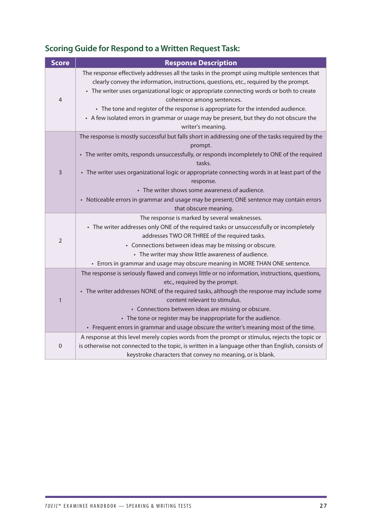| <b>Score</b>     | <b>Response Description</b>                                                                                                                                                                                                                                                                                                                                                                                                                                                                                           |
|------------------|-----------------------------------------------------------------------------------------------------------------------------------------------------------------------------------------------------------------------------------------------------------------------------------------------------------------------------------------------------------------------------------------------------------------------------------------------------------------------------------------------------------------------|
| 4                | The response effectively addresses all the tasks in the prompt using multiple sentences that<br>clearly convey the information, instructions, questions, etc., required by the prompt.<br>• The writer uses organizational logic or appropriate connecting words or both to create<br>coherence among sentences.<br>• The tone and register of the response is appropriate for the intended audience.<br>• A few isolated errors in grammar or usage may be present, but they do not obscure the<br>writer's meaning. |
| 3                | The response is mostly successful but falls short in addressing one of the tasks required by the<br>prompt.<br>• The writer omits, responds unsuccessfully, or responds incompletely to ONE of the required<br>tasks.<br>• The writer uses organizational logic or appropriate connecting words in at least part of the<br>response.<br>• The writer shows some awareness of audience.<br>• Noticeable errors in grammar and usage may be present; ONE sentence may contain errors<br>that obscure meaning.           |
| $\overline{2}$   | The response is marked by several weaknesses.<br>• The writer addresses only ONE of the required tasks or unsuccessfully or incompletely<br>addresses TWO OR THREE of the required tasks.<br>• Connections between ideas may be missing or obscure.<br>• The writer may show little awareness of audience.<br>• Errors in grammar and usage may obscure meaning in MORE THAN ONE sentence.                                                                                                                            |
| 1                | The response is seriously flawed and conveys little or no information, instructions, questions,<br>etc., required by the prompt.<br>• The writer addresses NONE of the required tasks, although the response may include some<br>content relevant to stimulus.<br>• Connections between ideas are missing or obscure.<br>• The tone or register may be inappropriate for the audience.<br>• Frequent errors in grammar and usage obscure the writer's meaning most of the time.                                       |
| $\boldsymbol{0}$ | A response at this level merely copies words from the prompt or stimulus, rejects the topic or<br>is otherwise not connected to the topic, is written in a language other than English, consists of<br>keystroke characters that convey no meaning, or is blank.                                                                                                                                                                                                                                                      |

## **Scoring Guide for Respond to a Written Request Task:**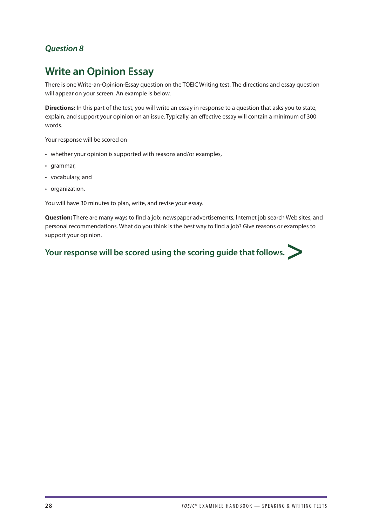## <span id="page-29-0"></span>*Question 8*

## **Write an Opinion Essay**

There is one Write-an-Opinion-Essay question on the TOEIC Writing test. The directions and essay question will appear on your screen. An example is below.

**Directions:** In this part of the test, you will write an essay in response to a question that asks you to state, explain, and support your opinion on an issue. Typically, an effective essay will contain a minimum of 300 words.

Your response will be scored on

- whether your opinion is supported with reasons and/or examples,
- grammar,
- vocabulary, and
- organization.

You will have 30 minutes to plan, write, and revise your essay.

**Question:** There are many ways to find a job: newspaper advertisements, Internet job search Web sites, and personal recommendations. What do you think is the best way to find a job? Give reasons or examples to support your opinion.

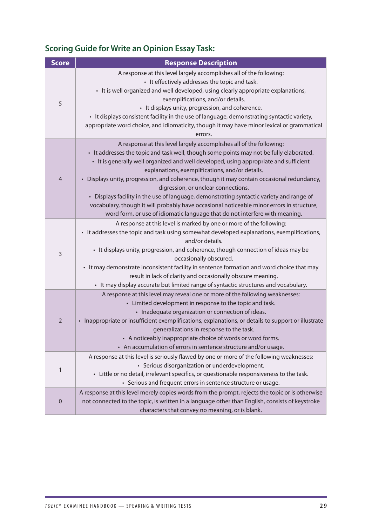## **Scoring Guide for Write an Opinion Essay Task:**

| <b>Score</b>   | <b>Response Description</b>                                                                                                                                                                                                                                                                                                                                                                                                                                                                                                                                                                                                                                                                                             |
|----------------|-------------------------------------------------------------------------------------------------------------------------------------------------------------------------------------------------------------------------------------------------------------------------------------------------------------------------------------------------------------------------------------------------------------------------------------------------------------------------------------------------------------------------------------------------------------------------------------------------------------------------------------------------------------------------------------------------------------------------|
| 5              | A response at this level largely accomplishes all of the following:<br>• It effectively addresses the topic and task.<br>• It is well organized and well developed, using clearly appropriate explanations,<br>exemplifications, and/or details.<br>• It displays unity, progression, and coherence.<br>• It displays consistent facility in the use of language, demonstrating syntactic variety,<br>appropriate word choice, and idiomaticity, though it may have minor lexical or grammatical<br>errors.                                                                                                                                                                                                             |
| $\overline{4}$ | A response at this level largely accomplishes all of the following:<br>• It addresses the topic and task well, though some points may not be fully elaborated.<br>• It is generally well organized and well developed, using appropriate and sufficient<br>explanations, exemplifications, and/or details.<br>• Displays unity, progression, and coherence, though it may contain occasional redundancy,<br>digression, or unclear connections.<br>• Displays facility in the use of language, demonstrating syntactic variety and range of<br>vocabulary, though it will probably have occasional noticeable minor errors in structure,<br>word form, or use of idiomatic language that do not interfere with meaning. |
| 3              | A response at this level is marked by one or more of the following:<br>• It addresses the topic and task using somewhat developed explanations, exemplifications,<br>and/or details.<br>• It displays unity, progression, and coherence, though connection of ideas may be<br>occasionally obscured.<br>• It may demonstrate inconsistent facility in sentence formation and word choice that may<br>result in lack of clarity and occasionally obscure meaning.<br>• It may display accurate but limited range of syntactic structures and vocabulary.                                                                                                                                                                 |
| $\overline{2}$ | A response at this level may reveal one or more of the following weaknesses:<br>• Limited development in response to the topic and task.<br>• Inadequate organization or connection of ideas.<br>• Inappropriate or insufficient exemplifications, explanations, or details to support or illustrate<br>generalizations in response to the task.<br>• A noticeably inappropriate choice of words or word forms.<br>• An accumulation of errors in sentence structure and/or usage.                                                                                                                                                                                                                                      |
| 1              | A response at this level is seriously flawed by one or more of the following weaknesses:<br>• Serious disorganization or underdevelopment.<br>• Little or no detail, irrelevant specifics, or questionable responsiveness to the task.<br>• Serious and frequent errors in sentence structure or usage.                                                                                                                                                                                                                                                                                                                                                                                                                 |
| $\mathbf 0$    | A response at this level merely copies words from the prompt, rejects the topic or is otherwise<br>not connected to the topic, is written in a language other than English, consists of keystroke<br>characters that convey no meaning, or is blank.                                                                                                                                                                                                                                                                                                                                                                                                                                                                    |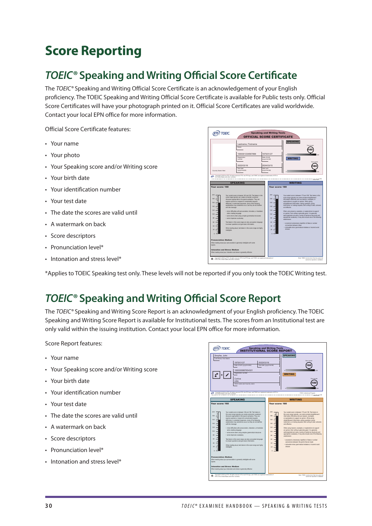# <span id="page-31-0"></span>**Score Reporting**

# *TOEIC®* **Speaking and Writing Official Score Certificate**

The *TOEIC®* Speaking and Writing Official Score Certificate is an acknowledgement of your English proficiency. The TOEIC Speaking and Writing Official Score Certificate is available for Public tests only. Official Score Certificates will have your photograph printed on it. Official Score Certificates are valid worldwide. Contact your local EPN office for more information.

Official Score Certificate features:

- Your name
- Your photo
- Your Speaking score and/or Writing score
- Your birth date
- Your identification number
- Your test date
- The date the scores are valid until
- A watermark on back
- Score descriptors
- Pronunciation level\*
- Intonation and stress level\*

\*Applies to TOEIC Speaking test only. These levels will not be reported if you only took the TOEIC Writing test.

ETS in the United States and other countries.

# *TOEIC®* **Speaking and Writing Official Score Report**

The *TOEIC®* Speaking and Writing Score Report is an acknowledgment of your English proficiency. The TOEIC Speaking and Writing Score Report is available for Institutional tests. The scores from an Institutional test are only valid within the issuing institution. Contact your local EPN office for more information.

Score Report features:

- Your name
- Your Speaking score and/or Writing score
- Your birth date
- Your identification number
- Your test date
- The date the scores are valid until
- A watermark on back
- Score descriptors
- Pronunciation level\*
- Intonation and stress level\*



**ETS** TOEIC eaking and Writing Tests **CIAL SCORE CERTIFICATE** SPEAKING Lastname, Firstname 160 Your score Name 1000001234567899 1975/01/27 0 200 Registration Date of birth WRITING number (yyyy/mm/dd) Your score  $(180)$ 2022/03/16 2024/03/15 Test date Valid until Country Name Here (yyyy/mm/dd) (yyyy/mm/dd) 0 200 Copyright © 2022 by ETS. All rights reserved. ETS, the ETS logo, and TOEIC are registered trademarks of ETS in the United States and other countries. SPEAKING | WRITING Your score: 160 Your score: 180 200 200 Your scaled score is between 160 and 180. Test takers in this Your scaled score is between 170 and 190. Test takers in this score range typically can create connected, sustained score range typically can communicate straightforward 180 180 discourse appropriate to the typical workplace. They can information effectively and use reasons, examples, or express opinions or respond to complicated requests explanations to support an opinion. When giving 160 160 effectively. In extended responses, some of the following straightforward information, asking questions, giving weaknesses may sometimes occur, but they do not interfere instructions, or making requests, their writing is clear, coherent, 140 140 with the message and effective. 120 120 • minor difficulties with pronunciation, intonation, or hesitation When using reasons, examples, or explanations to support when creating language an opinion, their writing is generally good. It is generally 100 100 well-organized and uses a variety of sentence structures and • some errors when using complex grammatical structures appropriate vocabulary. It may also include one of the following 80 • some imprecise vocabulary 80 weaknesses: Test takers in this score range can also use spoken language  $60$ • occasional unnecessary repetition of ideas or unclear to answer questions and give basic information. connections between ideas 40 40 • noticeable minor grammatical mistakes or incorrect word When reading aloud, test takers in this score range are highly 20 20 choices intelligible. Pronunciation: Medium When reading aloud your pronunciation is generally intelligible with some lapses. Intonation and Stress: Medium When reading aloud your intonation and stress is generally effective Copyright © 2022 by ETS. All rights reserved. ETS, the ETS logo, and TOEIC are registered trademarks of Note: TOEIC scores more than two years old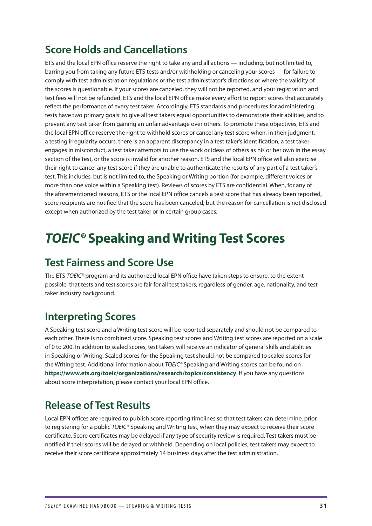# <span id="page-32-0"></span>**Score Holds and Cancellations**

ETS and the local EPN office reserve the right to take any and all actions — including, but not limited to, barring you from taking any future ETS tests and/or withholding or canceling your scores — for failure to comply with test administration regulations or the test administrator's directions or where the validity of the scores is questionable. If your scores are canceled, they will not be reported, and your registration and test fees will not be refunded. ETS and the local EPN office make every effort to report scores that accurately reflect the performance of every test taker. Accordingly, ETS standards and procedures for administering tests have two primary goals: to give all test takers equal opportunities to demonstrate their abilities, and to prevent any test taker from gaining an unfair advantage over others. To promote these objectives, ETS and the local EPN office reserve the right to withhold scores or cancel any test score when, in their judgment, a testing irregularity occurs, there is an apparent discrepancy in a test taker's identification, a test taker engages in misconduct, a test taker attempts to use the work or ideas of others as his or her own in the essay section of the test, or the score is invalid for another reason. ETS and the local EPN office will also exercise their right to cancel any test score if they are unable to authenticate the results of any part of a test taker's test. This includes, but is not limited to, the Speaking or Writing portion (for example, different voices or more than one voice within a Speaking test). Reviews of scores by ETS are confidential. When, for any of the aforementioned reasons, ETS or the local EPN office cancels a test score that has already been reported, score recipients are notified that the score has been canceled, but the reason for cancellation is not disclosed except when authorized by the test taker or in certain group cases.

# *TOEIC®* **Speaking and Writing Test Scores**

## **Test Fairness and Score Use**

The ETS *TOEIC®* program and its authorized local EPN office have taken steps to ensure, to the extent possible, that tests and test scores are fair for all test takers, regardless of gender, age, nationality, and test taker industry background.

## **Interpreting Scores**

A Speaking test score and a Writing test score will be reported separately and should not be compared to each other. There is no combined score. Speaking test scores and Writing test scores are reported on a scale of 0 to 200. In addition to scaled scores, test takers will receive an indicator of general skills and abilities in Speaking or Writing. Scaled scores for the Speaking test should not be compared to scaled scores for the Writing test. Additional information about *TOEIC®* Speaking and Writing scores can be found on **<https://www.ets.org/toeic/organizations/research/topics/consistency>**. If you have any questions about score interpretation, please contact your local EPN office.

# **Release of Test Results**

Local EPN offices are required to publish score reporting timelines so that test takers can determine, prior to registering for a public *TOEIC®* Speaking and Writing test, when they may expect to receive their score certificate. Score certificates may be delayed if any type of security review is required. Test takers must be notified if their scores will be delayed or withheld. Depending on local policies, test takers may expect to receive their score certificate approximately 14 business days after the test administration.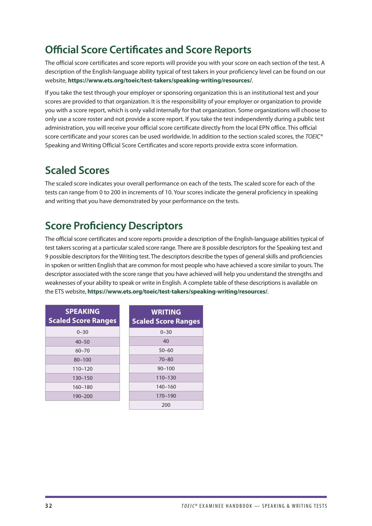# <span id="page-33-0"></span>**Official Score Certificates and Score Reports**

The official score certificates and score reports will provide you with your score on each section of the test. A description of the English-language ability typical of test takers in your proficiency level can be found on our website, **<https://www.ets.org/toeic/test-takers/speaking-writing/resources/>**.

If you take the test through your employer or sponsoring organization this is an institutional test and your scores are provided to that organization. It is the responsibility of your employer or organization to provide you with a score report, which is only valid internally for that organization. Some organizations will choose to only use a score roster and not provide a score report. If you take the test independently during a public test administration, you will receive your official score certificate directly from the local EPN office. This official score certificate and your scores can be used worldwide. In addition to the section scaled scores, the *TOEIC®* Speaking and Writing Official Score Certificates and score reports provide extra score information.

## **Scaled Scores**

The scaled score indicates your overall performance on each of the tests. The scaled score for each of the tests can range from 0 to 200 in increments of 10. Your scores indicate the general proficiency in speaking and writing that you have demonstrated by your performance on the tests.

# **Score Proficiency Descriptors**

The official score certificates and score reports provide a description of the English-language abilities typical of test takers scoring at a particular scaled score range. There are 8 possible descriptors for the Speaking test and 9 possible descriptors for the Writing test. The descriptors describe the types of general skills and proficiencies in spoken or written English that are common for most people who have achieved a score similar to yours. The descriptor associated with the score range that you have achieved will help you understand the strengths and weaknesses of your ability to speak or write in English. A complete table of these descriptions is available on the ETS website, **<https://www.ets.org/toeic/test-takers/speaking-writing/resources/>**.

| <b>SPEAKING</b><br><b>Scaled Score Ranges</b> | <b>WRITING</b><br><b>Scaled Score Ranges</b> |
|-----------------------------------------------|----------------------------------------------|
| $0 - 30$                                      | $0 - 30$                                     |
| $40 - 50$                                     | 40                                           |
| $60 - 70$                                     | $50 - 60$                                    |
| $80 - 100$                                    | $70 - 80$                                    |
| $110 - 120$                                   | $90 - 100$                                   |
| $130 - 150$                                   | $110 - 130$                                  |
| $160 - 180$                                   | $140 - 160$                                  |
| $190 - 200$                                   | 170-190                                      |
|                                               | 200                                          |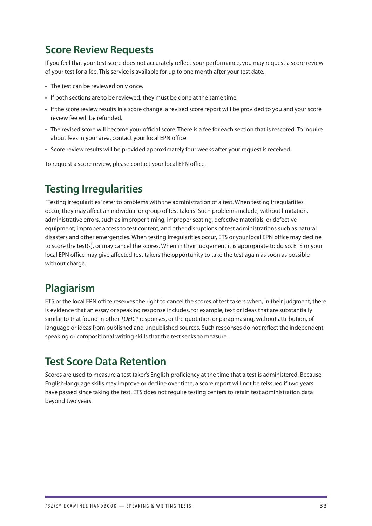## <span id="page-34-0"></span>**Score Review Requests**

If you feel that your test score does not accurately reflect your performance, you may request a score review of your test for a fee. This service is available for up to one month after your test date.

- The test can be reviewed only once.
- If both sections are to be reviewed, they must be done at the same time.
- If the score review results in a score change, a revised score report will be provided to you and your score review fee will be refunded.
- The revised score will become your official score. There is a fee for each section that is rescored. To inquire about fees in your area, contact your local EPN office.
- Score review results will be provided approximately four weeks after your request is received.

To request a score review, please contact your local EPN office.

## **Testing Irregularities**

"Testing irregularities" refer to problems with the administration of a test. When testing irregularities occur, they may affect an individual or group of test takers. Such problems include, without limitation, administrative errors, such as improper timing, improper seating, defective materials, or defective equipment; improper access to test content; and other disruptions of test administrations such as natural disasters and other emergencies. When testing irregularities occur, ETS or your local EPN office may decline to score the test(s), or may cancel the scores. When in their judgement it is appropriate to do so, ETS or your local EPN office may give affected test takers the opportunity to take the test again as soon as possible without charge.

## **Plagiarism**

ETS or the local EPN office reserves the right to cancel the scores of test takers when, in their judgment, there is evidence that an essay or speaking response includes, for example, text or ideas that are substantially similar to that found in other *TOEIC®* responses, or the quotation or paraphrasing, without attribution, of language or ideas from published and unpublished sources. Such responses do not reflect the independent speaking or compositional writing skills that the test seeks to measure.

## **Test Score Data Retention**

Scores are used to measure a test taker's English proficiency at the time that a test is administered. Because English-language skills may improve or decline over time, a score report will not be reissued if two years have passed since taking the test. ETS does not require testing centers to retain test administration data beyond two years.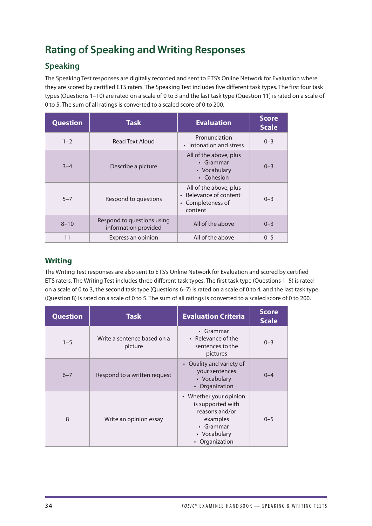# <span id="page-35-0"></span>**Rating of Speaking and Writing Responses**

## **Speaking**

The Speaking Test responses are digitally recorded and sent to ETS's Online Network for Evaluation where they are scored by certified ETS raters. The Speaking Test includes five different task types. The first four task types (Questions 1–10) are rated on a scale of 0 to 3 and the last task type (Question 11) is rated on a scale of 0 to 5. The sum of all ratings is converted to a scaled score of 0 to 200.

| <b>Question</b> | <b>Task</b>                                        | <b>Evaluation</b>                                                                | <b>Score</b><br><b>Scale</b> |
|-----------------|----------------------------------------------------|----------------------------------------------------------------------------------|------------------------------|
| $1 - 2$         | Read Text Aloud                                    | Pronunciation<br>• Intonation and stress                                         | $0 - 3$                      |
| $3 - 4$         | Describe a picture                                 | All of the above, plus<br>• Grammar<br>• Vocabulary<br>• Cohesion                | $0 - 3$                      |
| $5 - 7$         | Respond to questions                               | All of the above, plus<br>• Relevance of content<br>• Completeness of<br>content | $0 - 3$                      |
| $8 - 10$        | Respond to questions using<br>information provided | All of the above                                                                 | $0 - 3$                      |
| 11              | Express an opinion                                 | All of the above                                                                 | $0 - 5$                      |

### **Writing**

The Writing Test responses are also sent to ETS's Online Network for Evaluation and scored by certified ETS raters. The Writing Test includes three different task types. The first task type (Questions 1–5) is rated on a scale of 0 to 3, the second task type (Questions 6–7) is rated on a scale of 0 to 4, and the last task type (Question 8) is rated on a scale of 0 to 5. The sum of all ratings is converted to a scaled score of 0 to 200.

| <b>Question</b> | <b>Task</b>                            | <b>Evaluation Criteria</b>                                                                                               | <b>Score</b><br><b>Scale</b> |
|-----------------|----------------------------------------|--------------------------------------------------------------------------------------------------------------------------|------------------------------|
| $1 - 5$         | Write a sentence based on a<br>picture | • Grammar<br>• Relevance of the<br>sentences to the<br>pictures                                                          | $0 - 3$                      |
| $6 - 7$         | Respond to a written request           | • Quality and variety of<br>your sentences<br>• Vocabulary<br>• Organization                                             | $0 - 4$                      |
| 8               | Write an opinion essay                 | • Whether your opinion<br>is supported with<br>reasons and/or<br>examples<br>• Grammar<br>• Vocabulary<br>• Organization | $0 - 5$                      |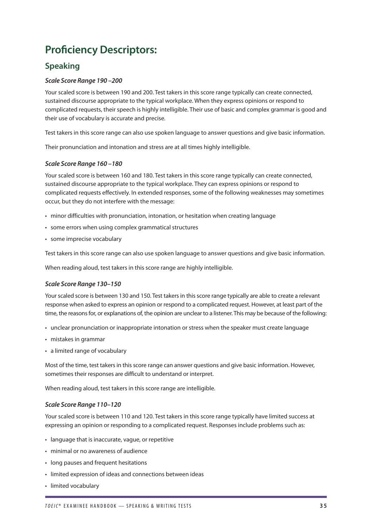# <span id="page-36-0"></span>**Proficiency Descriptors:**

## **Speaking**

### *Scale Score Range 190 –200*

Your scaled score is between 190 and 200. Test takers in this score range typically can create connected, sustained discourse appropriate to the typical workplace. When they express opinions or respond to complicated requests, their speech is highly intelligible. Their use of basic and complex grammar is good and their use of vocabulary is accurate and precise.

Test takers in this score range can also use spoken language to answer questions and give basic information.

Their pronunciation and intonation and stress are at all times highly intelligible.

### *Scale Score Range 160 –180*

Your scaled score is between 160 and 180. Test takers in this score range typically can create connected, sustained discourse appropriate to the typical workplace. They can express opinions or respond to complicated requests effectively. In extended responses, some of the following weaknesses may sometimes occur, but they do not interfere with the message:

- minor difficulties with pronunciation, intonation, or hesitation when creating language
- some errors when using complex grammatical structures
- some imprecise vocabulary

Test takers in this score range can also use spoken language to answer questions and give basic information.

When reading aloud, test takers in this score range are highly intelligible.

### *Scale Score Range 130–150*

Your scaled score is between 130 and 150. Test takers in this score range typically are able to create a relevant response when asked to express an opinion or respond to a complicated request. However, at least part of the time, the reasons for, or explanations of, the opinion are unclear to a listener. This may be because of the following:

- unclear pronunciation or inappropriate intonation or stress when the speaker must create language
- mistakes in grammar
- a limited range of vocabulary

Most of the time, test takers in this score range can answer questions and give basic information. However, sometimes their responses are difficult to understand or interpret.

When reading aloud, test takers in this score range are intelligible.

### *Scale Score Range 110–120*

Your scaled score is between 110 and 120. Test takers in this score range typically have limited success at expressing an opinion or responding to a complicated request. Responses include problems such as:

- language that is inaccurate, vague, or repetitive
- minimal or no awareness of audience
- long pauses and frequent hesitations
- limited expression of ideas and connections between ideas
- limited vocabulary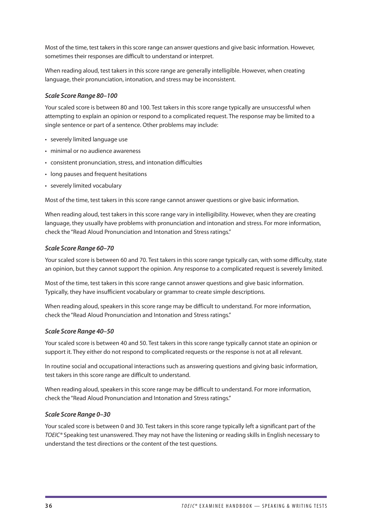Most of the time, test takers in this score range can answer questions and give basic information. However, sometimes their responses are difficult to understand or interpret.

When reading aloud, test takers in this score range are generally intelligible. However, when creating language, their pronunciation, intonation, and stress may be inconsistent.

### *Scale Score Range 80–100*

Your scaled score is between 80 and 100. Test takers in this score range typically are unsuccessful when attempting to explain an opinion or respond to a complicated request. The response may be limited to a single sentence or part of a sentence. Other problems may include:

- severely limited language use
- minimal or no audience awareness
- consistent pronunciation, stress, and intonation difficulties
- long pauses and frequent hesitations
- severely limited vocabulary

Most of the time, test takers in this score range cannot answer questions or give basic information.

When reading aloud, test takers in this score range vary in intelligibility. However, when they are creating language, they usually have problems with pronunciation and intonation and stress. For more information, check the "Read Aloud Pronunciation and Intonation and Stress ratings."

### *Scale Score Range 60–70*

Your scaled score is between 60 and 70. Test takers in this score range typically can, with some difficulty, state an opinion, but they cannot support the opinion. Any response to a complicated request is severely limited.

Most of the time, test takers in this score range cannot answer questions and give basic information. Typically, they have insufficient vocabulary or grammar to create simple descriptions.

When reading aloud, speakers in this score range may be difficult to understand. For more information, check the "Read Aloud Pronunciation and Intonation and Stress ratings."

### *Scale Score Range 40–50*

Your scaled score is between 40 and 50. Test takers in this score range typically cannot state an opinion or support it. They either do not respond to complicated requests or the response is not at all relevant.

In routine social and occupational interactions such as answering questions and giving basic information, test takers in this score range are difficult to understand.

When reading aloud, speakers in this score range may be difficult to understand. For more information, check the "Read Aloud Pronunciation and Intonation and Stress ratings."

### *Scale Score Range 0–30*

Your scaled score is between 0 and 30. Test takers in this score range typically left a significant part of the *TOEIC®* Speaking test unanswered. They may not have the listening or reading skills in English necessary to understand the test directions or the content of the test questions.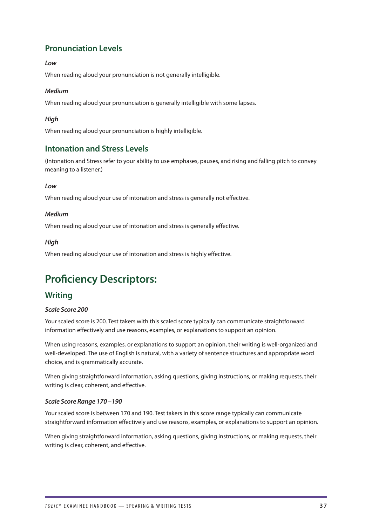## <span id="page-38-0"></span>**Pronunciation Levels**

### *Low*

When reading aloud your pronunciation is not generally intelligible.

### *Medium*

When reading aloud your pronunciation is generally intelligible with some lapses.

### *High*

When reading aloud your pronunciation is highly intelligible.

### **Intonation and Stress Levels**

(Intonation and Stress refer to your ability to use emphases, pauses, and rising and falling pitch to convey meaning to a listener.)

### *Low*

When reading aloud your use of intonation and stress is generally not effective.

### *Medium*

When reading aloud your use of intonation and stress is generally effective.

### *High*

When reading aloud your use of intonation and stress is highly effective.

## **Proficiency Descriptors:**

### **Writing**

### *Scale Score 200*

Your scaled score is 200. Test takers with this scaled score typically can communicate straightforward information effectively and use reasons, examples, or explanations to support an opinion.

When using reasons, examples, or explanations to support an opinion, their writing is well-organized and well-developed. The use of English is natural, with a variety of sentence structures and appropriate word choice, and is grammatically accurate.

When giving straightforward information, asking questions, giving instructions, or making requests, their writing is clear, coherent, and effective.

### *Scale Score Range 170 –190*

Your scaled score is between 170 and 190. Test takers in this score range typically can communicate straightforward information effectively and use reasons, examples, or explanations to support an opinion.

When giving straightforward information, asking questions, giving instructions, or making requests, their writing is clear, coherent, and effective.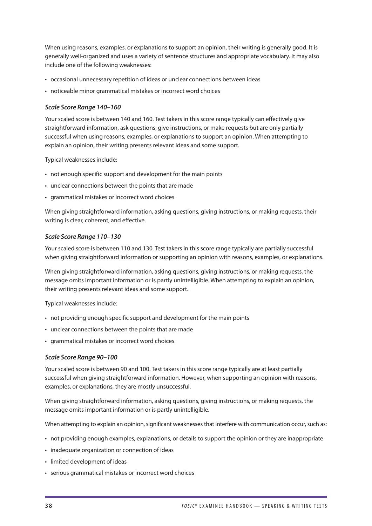When using reasons, examples, or explanations to support an opinion, their writing is generally good. It is generally well-organized and uses a variety of sentence structures and appropriate vocabulary. It may also include one of the following weaknesses:

- occasional unnecessary repetition of ideas or unclear connections between ideas
- noticeable minor grammatical mistakes or incorrect word choices

### *Scale Score Range 140–160*

Your scaled score is between 140 and 160. Test takers in this score range typically can effectively give straightforward information, ask questions, give instructions, or make requests but are only partially successful when using reasons, examples, or explanations to support an opinion. When attempting to explain an opinion, their writing presents relevant ideas and some support.

Typical weaknesses include:

- not enough specific support and development for the main points
- unclear connections between the points that are made
- grammatical mistakes or incorrect word choices

When giving straightforward information, asking questions, giving instructions, or making requests, their writing is clear, coherent, and effective.

### *Scale Score Range 110–130*

Your scaled score is between 110 and 130. Test takers in this score range typically are partially successful when giving straightforward information or supporting an opinion with reasons, examples, or explanations.

When giving straightforward information, asking questions, giving instructions, or making requests, the message omits important information or is partly unintelligible. When attempting to explain an opinion, their writing presents relevant ideas and some support.

Typical weaknesses include:

- not providing enough specific support and development for the main points
- unclear connections between the points that are made
- grammatical mistakes or incorrect word choices

### *Scale Score Range 90–100*

Your scaled score is between 90 and 100. Test takers in this score range typically are at least partially successful when giving straightforward information. However, when supporting an opinion with reasons, examples, or explanations, they are mostly unsuccessful.

When giving straightforward information, asking questions, giving instructions, or making requests, the message omits important information or is partly unintelligible.

When attempting to explain an opinion, significant weaknesses that interfere with communication occur, such as:

- not providing enough examples, explanations, or details to support the opinion or they are inappropriate
- inadequate organization or connection of ideas
- limited development of ideas
- serious grammatical mistakes or incorrect word choices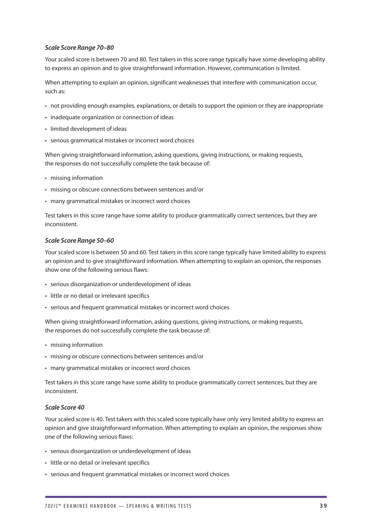### *Scale Score Range 70–80*

Your scaled score is between 70 and 80. Test takers in this score range typically have some developing ability to express an opinion and to give straightforward information. However, communication is limited.

When attempting to explain an opinion, significant weaknesses that interfere with communication occur, such as:

- not providing enough examples, explanations, or details to support the opinion or they are inappropriate
- inadequate organization or connection of ideas
- limited development of ideas
- serious grammatical mistakes or incorrect word choices

When giving straightforward information, asking questions, giving instructions, or making requests, the responses do not successfully complete the task because of:

- missing information
- missing or obscure connections between sentences and/or
- many grammatical mistakes or incorrect word choices

Test takers in this score range have some ability to produce grammatically correct sentences, but they are inconsistent.

#### *Scale Score Range 50–60*

Your scaled score is between 50 and 60. Test takers in this score range typically have limited ability to express an opinion and to give straightforward information. When attempting to explain an opinion, the responses show one of the following serious flaws:

- serious disorganization or underdevelopment of ideas
- little or no detail or irrelevant specifics
- serious and frequent grammatical mistakes or incorrect word choices

When giving straightforward information, asking questions, giving instructions, or making requests, the responses do not successfully complete the task because of:

- missing information
- missing or obscure connections between sentences and/or
- many grammatical mistakes or incorrect word choices

Test takers in this score range have some ability to produce grammatically correct sentences, but they are inconsistent.

### *Scale Score 40*

Your scaled score is 40. Test takers with this scaled score typically have only very limited ability to express an opinion and give straightforward information. When attempting to explain an opinion, the responses show one of the following serious flaws:

- serious disorganization or underdevelopment of ideas
- little or no detail or irrelevant specifics
- serious and frequent grammatical mistakes or incorrect word choices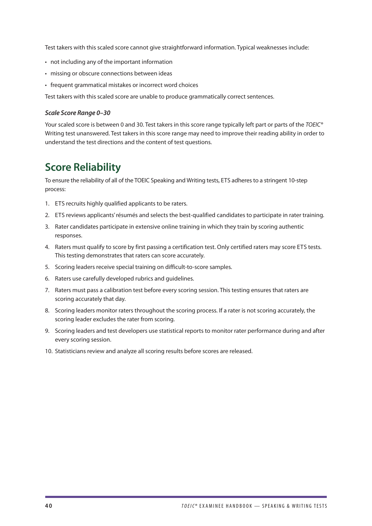<span id="page-41-0"></span>Test takers with this scaled score cannot give straightforward information. Typical weaknesses include:

- not including any of the important information
- missing or obscure connections between ideas
- frequent grammatical mistakes or incorrect word choices

Test takers with this scaled score are unable to produce grammatically correct sentences.

#### *Scale Score Range 0–30*

Your scaled score is between 0 and 30. Test takers in this score range typically left part or parts of the *TOEIC®* Writing test unanswered. Test takers in this score range may need to improve their reading ability in order to understand the test directions and the content of test questions.

## **Score Reliability**

To ensure the reliability of all of the TOEIC Speaking and Writing tests, ETS adheres to a stringent 10-step process:

- 1. ETS recruits highly qualified applicants to be raters.
- 2. ETS reviews applicants' résumés and selects the best-qualified candidates to participate in rater training.
- 3. Rater candidates participate in extensive online training in which they train by scoring authentic responses.
- 4. Raters must qualify to score by first passing a certification test. Only certified raters may score ETS tests. This testing demonstrates that raters can score accurately.
- 5. Scoring leaders receive special training on difficult-to-score samples.
- 6. Raters use carefully developed rubrics and guidelines.
- 7. Raters must pass a calibration test before every scoring session. This testing ensures that raters are scoring accurately that day.
- 8. Scoring leaders monitor raters throughout the scoring process. If a rater is not scoring accurately, the scoring leader excludes the rater from scoring.
- 9. Scoring leaders and test developers use statistical reports to monitor rater performance during and after every scoring session.
- 10. Statisticians review and analyze all scoring results before scores are released.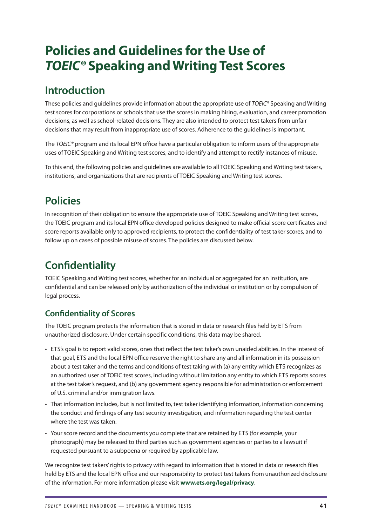# <span id="page-42-0"></span>**Policies and Guidelines for the Use of**  *TOEIC®* **Speaking and Writing Test Scores**

## **Introduction**

These policies and guidelines provide information about the appropriate use of *TOEIC®* Speaking and Writing test scores for corporations or schools that use the scores in making hiring, evaluation, and career promotion decisions, as well as school-related decisions. They are also intended to protect test takers from unfair decisions that may result from inappropriate use of scores. Adherence to the guidelines is important.

The *TOEIC®* program and its local EPN office have a particular obligation to inform users of the appropriate uses of TOEIC Speaking and Writing test scores, and to identify and attempt to rectify instances of misuse.

To this end, the following policies and guidelines are available to all TOEIC Speaking and Writing test takers, institutions, and organizations that are recipients of TOEIC Speaking and Writing test scores.

# **Policies**

In recognition of their obligation to ensure the appropriate use of TOEIC Speaking and Writing test scores, the TOEIC program and its local EPN office developed policies designed to make official score certificates and score reports available only to approved recipients, to protect the confidentiality of test taker scores, and to follow up on cases of possible misuse of scores. The policies are discussed below.

# **Confidentiality**

TOEIC Speaking and Writing test scores, whether for an individual or aggregated for an institution, are confidential and can be released only by authorization of the individual or institution or by compulsion of legal process.

## **Confidentiality of Scores**

The TOEIC program protects the information that is stored in data or research files held by ETS from unauthorized disclosure. Under certain specific conditions, this data may be shared.

- ETS's goal is to report valid scores, ones that reflect the test taker's own unaided abilities. In the interest of that goal, ETS and the local EPN office reserve the right to share any and all information in its possession about a test taker and the terms and conditions of test taking with (a) any entity which ETS recognizes as an authorized user of TOEIC test scores, including without limitation any entity to which ETS reports scores at the test taker's request, and (b) any government agency responsible for administration or enforcement of U.S. criminal and/or immigration laws.
- That information includes, but is not limited to, test taker identifying information, information concerning the conduct and findings of any test security investigation, and information regarding the test center where the test was taken.
- Your score record and the documents you complete that are retained by ETS (for example, your photograph) may be released to third parties such as government agencies or parties to a lawsuit if requested pursuant to a subpoena or required by applicable law.

We recognize test takers' rights to privacy with regard to information that is stored in data or research files held by ETS and the local EPN office and our responsibility to protect test takers from unauthorized disclosure of the information. For more information please visit **[www.ets.org/legal/privacy](http://www.ets.org/legal/privacy)**.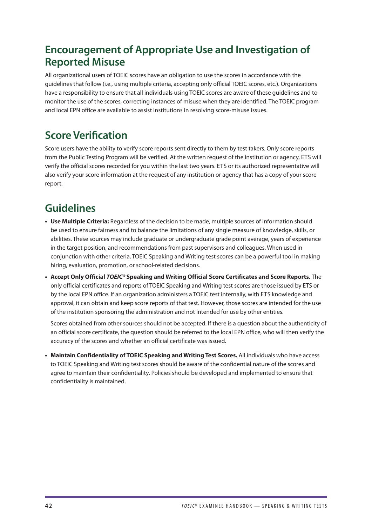# <span id="page-43-0"></span>**Encouragement of Appropriate Use and Investigation of Reported Misuse**

All organizational users of TOEIC scores have an obligation to use the scores in accordance with the guidelines that follow (i.e., using multiple criteria, accepting only official TOEIC scores, etc.). Organizations have a responsibility to ensure that all individuals using TOEIC scores are aware of these guidelines and to monitor the use of the scores, correcting instances of misuse when they are identified. The TOEIC program and local EPN office are available to assist institutions in resolving score-misuse issues.

# **Score Verification**

Score users have the ability to verify score reports sent directly to them by test takers. Only score reports from the Public Testing Program will be verified. At the written request of the institution or agency, ETS will verify the official scores recorded for you within the last two years. ETS or its authorized representative will also verify your score information at the request of any institution or agency that has a copy of your score report.

# **Guidelines**

- **• Use Multiple Criteria:** Regardless of the decision to be made, multiple sources of information should be used to ensure fairness and to balance the limitations of any single measure of knowledge, skills, or abilities. These sources may include graduate or undergraduate grade point average, years of experience in the target position, and recommendations from past supervisors and colleagues. When used in conjunction with other criteria, TOEIC Speaking and Writing test scores can be a powerful tool in making hiring, evaluation, promotion, or school-related decisions.
- **• Accept Only Official** *TOEIC®* **Speaking and Writing Official Score Certificates and Score Reports.** The only official certificates and reports of TOEIC Speaking and Writing test scores are those issued by ETS or by the local EPN office. If an organization administers a TOEIC test internally, with ETS knowledge and approval, it can obtain and keep score reports of that test. However, those scores are intended for the use of the institution sponsoring the administration and not intended for use by other entities.

Scores obtained from other sources should not be accepted. If there is a question about the authenticity of an official score certificate, the question should be referred to the local EPN office, who will then verify the accuracy of the scores and whether an official certificate was issued.

**• Maintain Confidentiality of TOEIC Speaking and Writing Test Scores.** All individuals who have access to TOEIC Speaking and Writing test scores should be aware of the confidential nature of the scores and agree to maintain their confidentiality. Policies should be developed and implemented to ensure that confidentiality is maintained.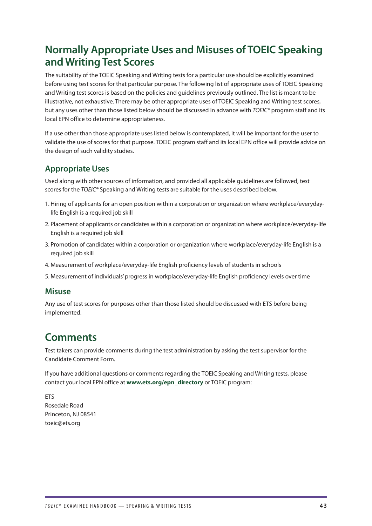# <span id="page-44-0"></span>**Normally Appropriate Uses and Misuses of TOEIC Speaking and Writing Test Scores**

The suitability of the TOEIC Speaking and Writing tests for a particular use should be explicitly examined before using test scores for that particular purpose. The following list of appropriate uses of TOEIC Speaking and Writing test scores is based on the policies and guidelines previously outlined. The list is meant to be illustrative, not exhaustive. There may be other appropriate uses of TOEIC Speaking and Writing test scores, but any uses other than those listed below should be discussed in advance with *TOEIC®* program staff and its local EPN office to determine appropriateness.

If a use other than those appropriate uses listed below is contemplated, it will be important for the user to validate the use of scores for that purpose. TOEIC program staff and its local EPN office will provide advice on the design of such validity studies.

## **Appropriate Uses**

Used along with other sources of information, and provided all applicable guidelines are followed, test scores for the *TOEIC®* Speaking and Writing tests are suitable for the uses described below.

- 1. Hiring of applicants for an open position within a corporation or organization where workplace/everydaylife English is a required job skill
- 2. Placement of applicants or candidates within a corporation or organization where workplace/everyday-life English is a required job skill
- 3. Promotion of candidates within a corporation or organization where workplace/everyday-life English is a required job skill
- 4. Measurement of workplace/everyday-life English proficiency levels of students in schools
- 5. Measurement of individuals' progress in workplace/everyday-life English proficiency levels over time

### **Misuse**

Any use of test scores for purposes other than those listed should be discussed with ETS before being implemented.

## **Comments**

Test takers can provide comments during the test administration by asking the test supervisor for the Candidate Comment Form.

If you have additional questions or comments regarding the TOEIC Speaking and Writing tests, please contact your local EPN office at **[www.ets.org/epn\\_directory](http://www.ets.org/epn_directory)** or TOEIC program:

ETS Rosedale Road Princeton, NJ 08541 [toeic@ets.org](mailto:toeic%40ets.org?subject=)